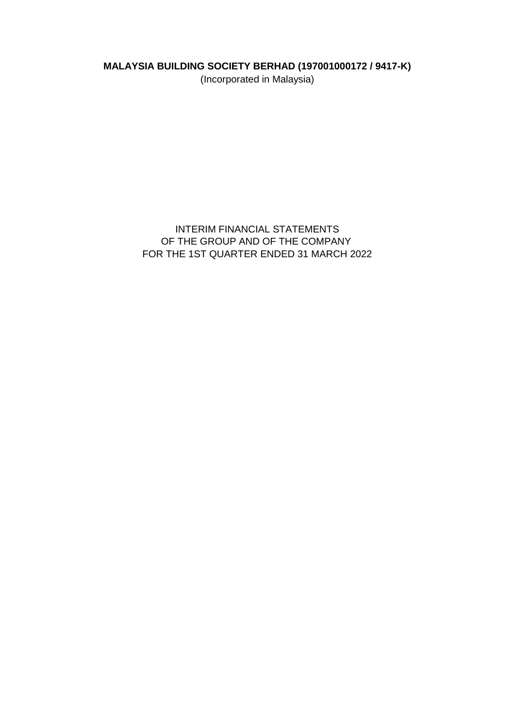# **MALAYSIA BUILDING SOCIETY BERHAD (197001000172 / 9417-K)**

(Incorporated in Malaysia)

# INTERIM FINANCIAL STATEMENTS OF THE GROUP AND OF THE COMPANY FOR THE 1ST QUARTER ENDED 31 MARCH 2022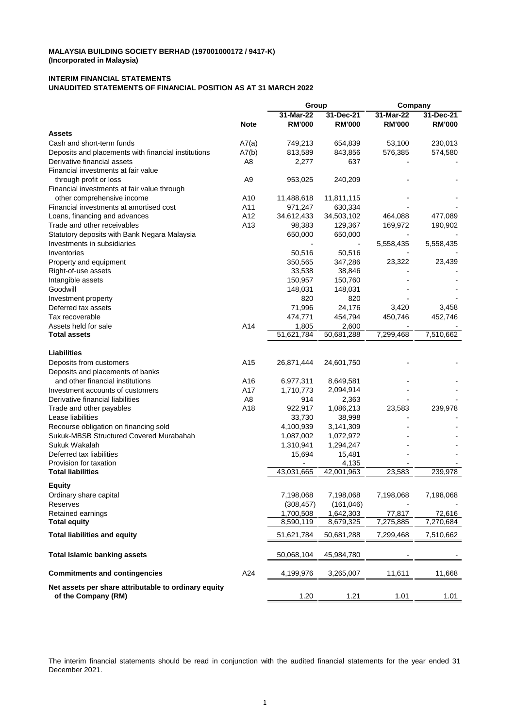#### **INTERIM FINANCIAL STATEMENTS UNAUDITED STATEMENTS OF FINANCIAL POSITION AS AT 31 MARCH 2022**

|                                                                             |                | Group                  |                        | Company             |                     |
|-----------------------------------------------------------------------------|----------------|------------------------|------------------------|---------------------|---------------------|
|                                                                             |                | 31-Mar-22              | 31-Dec-21              | 31-Mar-22           | 31-Dec-21           |
|                                                                             | <b>Note</b>    | <b>RM'000</b>          | <b>RM'000</b>          | <b>RM'000</b>       | <b>RM'000</b>       |
| <b>Assets</b>                                                               |                |                        |                        |                     |                     |
| Cash and short-term funds                                                   | A7(a)          | 749,213                | 654,839                | 53,100              | 230,013             |
| Deposits and placements with financial institutions                         | A7(b)          | 813,589                | 843,856                | 576,385             | 574,580             |
| Derivative financial assets                                                 | A8             | 2,277                  | 637                    |                     |                     |
| Financial investments at fair value                                         |                |                        |                        |                     |                     |
| through profit or loss                                                      | A9             | 953,025                | 240,209                |                     |                     |
| Financial investments at fair value through                                 |                |                        |                        |                     |                     |
| other comprehensive income                                                  | A10            | 11,488,618             | 11,811,115             |                     |                     |
| Financial investments at amortised cost                                     | A11            | 971,247                | 630,334                |                     |                     |
| Loans, financing and advances                                               | A12            | 34,612,433             | 34,503,102             | 464,088             | 477,089             |
| Trade and other receivables                                                 | A13            | 98,383                 | 129,367                | 169,972             | 190,902             |
| Statutory deposits with Bank Negara Malaysia                                |                | 650,000                | 650,000                |                     |                     |
| Investments in subsidiaries                                                 |                |                        |                        | 5,558,435           | 5,558,435           |
| Inventories                                                                 |                | 50,516                 | 50,516                 |                     |                     |
| Property and equipment                                                      |                | 350,565                | 347,286                | 23,322              | 23,439              |
| Right-of-use assets                                                         |                | 33,538                 | 38,846                 |                     |                     |
| Intangible assets                                                           |                | 150,957                | 150,760                |                     |                     |
| Goodwill                                                                    |                | 148,031                | 148,031                |                     |                     |
| Investment property                                                         |                | 820                    | 820                    |                     |                     |
| Deferred tax assets                                                         |                | 71,996                 | 24,176                 | 3,420               | 3,458               |
| Tax recoverable                                                             |                | 474,771                | 454,794                | 450,746             | 452,746             |
| Assets held for sale<br><b>Total assets</b>                                 | A14            | 1,805<br>51,621,784    | 2,600<br>50,681,288    | 7,299,468           | 7,510,662           |
|                                                                             |                |                        |                        |                     |                     |
| <b>Liabilities</b>                                                          |                |                        |                        |                     |                     |
| Deposits from customers                                                     | A15            | 26,871,444             | 24,601,750             |                     |                     |
| Deposits and placements of banks                                            |                |                        |                        |                     |                     |
| and other financial institutions                                            | A16            | 6,977,311              | 8,649,581              |                     |                     |
| Investment accounts of customers                                            | A17            | 1,710,773              | 2,094,914              |                     |                     |
| Derivative financial liabilities                                            | A <sub>8</sub> | 914                    | 2,363                  |                     |                     |
| Trade and other payables                                                    | A18            | 922,917                | 1,086,213              | 23,583              | 239,978             |
| Lease liabilities                                                           |                | 33,730                 | 38,998                 |                     |                     |
| Recourse obligation on financing sold                                       |                | 4,100,939              | 3,141,309              |                     |                     |
| Sukuk-MBSB Structured Covered Murabahah                                     |                | 1,087,002              | 1,072,972              |                     |                     |
| Sukuk Wakalah                                                               |                | 1,310,941              | 1,294,247              |                     |                     |
| Deferred tax liabilities                                                    |                | 15,694                 | 15,481                 |                     |                     |
| Provision for taxation                                                      |                |                        | 4,135                  |                     |                     |
| <b>Total liabilities</b>                                                    |                | 43,031,665             | 42,001,963             | 23,583              | 239,978             |
|                                                                             |                |                        |                        |                     |                     |
| <b>Equity</b>                                                               |                |                        |                        |                     |                     |
| Ordinary share capital                                                      |                | 7,198,068              | 7,198,068              | 7,198,068           | 7,198,068           |
| Reserves                                                                    |                | (308, 457)             | (161, 046)             |                     |                     |
| Retained earnings<br><b>Total equity</b>                                    |                | 1,700,508<br>8,590,119 | 1,642,303<br>8,679,325 | 77,817<br>7,275,885 | 72,616<br>7,270,684 |
|                                                                             |                |                        |                        |                     |                     |
| <b>Total liabilities and equity</b>                                         |                | 51,621,784             | 50,681,288             | 7,299,468           | 7,510,662           |
| <b>Total Islamic banking assets</b>                                         |                | 50,068,104             | 45,984,780             |                     |                     |
| <b>Commitments and contingencies</b>                                        | A24            | 4,199,976              | 3,265,007              | 11,611              | 11,668              |
| Net assets per share attributable to ordinary equity<br>of the Company (RM) |                | 1.20                   | 1.21                   | 1.01                | 1.01                |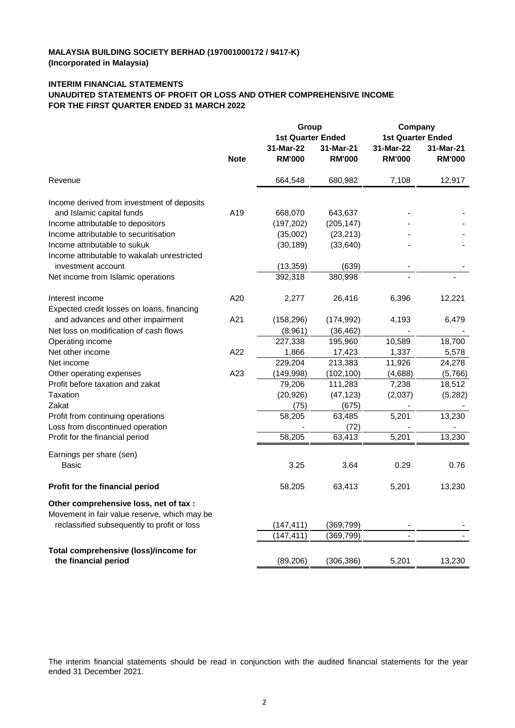### **INTERIM FINANCIAL STATEMENTS**

#### **UNAUDITED STATEMENTS OF PROFIT OR LOSS AND OTHER COMPREHENSIVE INCOME FOR THE FIRST QUARTER ENDED 31 MARCH 2022**

|                                                                                        |             | Group                    |               | Company                  |               |
|----------------------------------------------------------------------------------------|-------------|--------------------------|---------------|--------------------------|---------------|
|                                                                                        |             | <b>1st Quarter Ended</b> |               | <b>1st Quarter Ended</b> |               |
|                                                                                        |             | 31-Mar-22                | 31-Mar-21     | 31-Mar-22                | 31-Mar-21     |
|                                                                                        | <b>Note</b> | <b>RM'000</b>            | <b>RM'000</b> | <b>RM'000</b>            | <b>RM'000</b> |
| Revenue                                                                                |             | 664,548                  | 680,982       | 7,108                    | 12,917        |
| Income derived from investment of deposits                                             |             |                          |               |                          |               |
| and Islamic capital funds                                                              | A19         | 668,070                  | 643,637       |                          |               |
| Income attributable to depositors                                                      |             | (197, 202)               | (205, 147)    |                          |               |
| Income attributable to securitisation                                                  |             | (35,002)                 | (23, 213)     |                          |               |
| Income attributable to sukuk                                                           |             | (30, 189)                | (33, 640)     |                          |               |
| Income attributable to wakalah unrestricted                                            |             |                          |               |                          |               |
| investment account                                                                     |             | (13, 359)                | (639)         |                          |               |
| Net income from Islamic operations                                                     |             | 392,318                  | 380,998       |                          |               |
| Interest income                                                                        | A20         | 2,277                    | 26,416        | 6,396                    | 12,221        |
| Expected credit losses on loans, financing                                             |             |                          |               |                          |               |
| and advances and other impairment                                                      | A21         | (158, 296)               | (174, 992)    | 4,193                    | 6,479         |
| Net loss on modification of cash flows                                                 |             | (8,961)                  | (36, 462)     |                          |               |
| Operating income                                                                       |             | 227,338                  | 195,960       | 10,589                   | 18,700        |
| Net other income                                                                       | A22         | 1,866                    | 17,423        | 1,337                    | 5,578         |
| Net income                                                                             |             | 229,204                  | 213,383       | 11,926                   | 24,278        |
| Other operating expenses                                                               | A23         | (149, 998)               | (102, 100)    | (4,688)                  | (5,766)       |
| Profit before taxation and zakat                                                       |             | 79,206                   | 111,283       | 7,238                    | 18,512        |
| Taxation                                                                               |             | (20, 926)                | (47, 123)     | (2,037)                  | (5,282)       |
| Zakat                                                                                  |             | (75)                     | (675)         |                          |               |
| Profit from continuing operations                                                      |             | 58,205                   | 63,485        | 5,201                    | 13,230        |
| Loss from discontinued operation                                                       |             |                          | (72)          |                          |               |
| Profit for the financial period                                                        |             | 58,205                   | 63,413        | 5,201                    | 13,230        |
| Earnings per share (sen)                                                               |             |                          |               |                          |               |
| Basic                                                                                  |             | 3.25                     | 3.64          | 0.29                     | 0.76          |
| Profit for the financial period                                                        |             | 58,205                   | 63,413        | 5,201                    | 13,230        |
| Other comprehensive loss, net of tax :<br>Movement in fair value reserve, which may be |             |                          |               |                          |               |
| reclassified subsequently to profit or loss                                            |             | (147, 411)               | (369, 799)    |                          |               |
|                                                                                        |             | (147, 411)               | (369, 799)    |                          |               |
| Total comprehensive (loss)/income for                                                  |             |                          |               |                          |               |
| the financial period                                                                   |             | (89, 206)                | (306, 386)    | 5,201                    | 13,230        |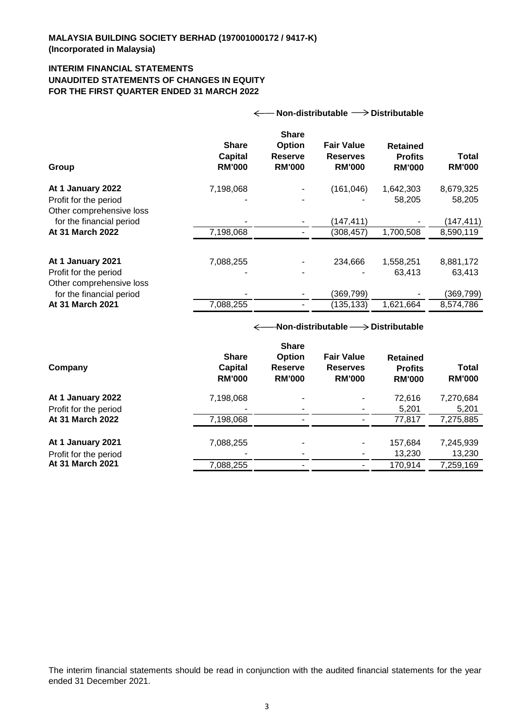## **INTERIM FINANCIAL STATEMENTS UNAUDITED STATEMENTS OF CHANGES IN EQUITY FOR THE FIRST QUARTER ENDED 31 MARCH 2022**

| Non-distributable $\longrightarrow$ Distributable<br>$\leftarrow$      |                                                 |                                                                  |                                                       |                                                    |                               |
|------------------------------------------------------------------------|-------------------------------------------------|------------------------------------------------------------------|-------------------------------------------------------|----------------------------------------------------|-------------------------------|
| Group                                                                  | <b>Share</b><br><b>Capital</b><br><b>RM'000</b> | <b>Share</b><br><b>Option</b><br><b>Reserve</b><br><b>RM'000</b> | <b>Fair Value</b><br><b>Reserves</b><br><b>RM'000</b> | <b>Retained</b><br><b>Profits</b><br><b>RM'000</b> | <b>Total</b><br><b>RM'000</b> |
| At 1 January 2022<br>Profit for the period<br>Other comprehensive loss | 7,198,068                                       |                                                                  | (161, 046)                                            | 1,642,303<br>58,205                                | 8,679,325<br>58,205           |
| for the financial period                                               |                                                 |                                                                  | (147, 411)                                            |                                                    | (147, 411)                    |
| At 31 March 2022                                                       | 7,198,068                                       |                                                                  | (308, 457)                                            | 1,700,508                                          | 8,590,119                     |
| At 1 January 2021<br>Profit for the period<br>Other comprehensive loss | 7,088,255                                       |                                                                  | 234,666                                               | 1,558,251<br>63,413                                | 8,881,172<br>63,413           |
| for the financial period                                               |                                                 |                                                                  | (369, 799)                                            |                                                    | (369, 799)                    |
| At 31 March 2021                                                       | 7,088,255                                       |                                                                  | (135, 133)                                            | 1,621,664                                          | 8,574,786                     |
|                                                                        | ←                                               |                                                                  | -Non-distributable $\longrightarrow$ Distributable    |                                                    |                               |
|                                                                        | <b>Share</b>                                    | <b>Share</b><br>Option                                           | <b>Fair Value</b>                                     | <b>Retained</b>                                    |                               |
| Company                                                                | <b>Capital</b><br><b>RM'000</b>                 | <b>Reserve</b><br><b>RM'000</b>                                  | <b>Reserves</b><br><b>RM'000</b>                      | <b>Profits</b><br><b>RM'000</b>                    | <b>Total</b><br><b>RM'000</b> |
| At 1 January 2022                                                      | 7,198,068                                       |                                                                  |                                                       | 72,616                                             | 7,270,684                     |
| Profit for the period                                                  |                                                 |                                                                  |                                                       | 5,201                                              | 5,201                         |
| At 31 March 2022                                                       | 7,198,068                                       |                                                                  |                                                       | 77,817                                             | 7,275,885                     |

**At 1 January 2021** 7,088,255 - 157,684 7,245,939 Profit for the period **Profit for the period -** 13,230 13,230 **At 31 March 2021** 7,088,255 7,088,255 7,088,255 7,088,255 7,259,169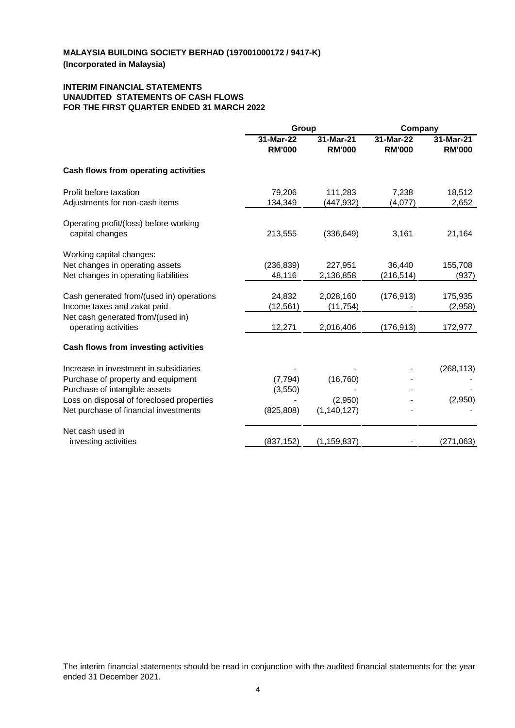### **INTERIM FINANCIAL STATEMENTS UNAUDITED STATEMENTS OF CASH FLOWS FOR THE FIRST QUARTER ENDED 31 MARCH 2022**

|                                                           | Group                      |                            |                            | Company                    |  |
|-----------------------------------------------------------|----------------------------|----------------------------|----------------------------|----------------------------|--|
|                                                           | 31-Mar-22<br><b>RM'000</b> | 31-Mar-21<br><b>RM'000</b> | 31-Mar-22<br><b>RM'000</b> | 31-Mar-21<br><b>RM'000</b> |  |
| Cash flows from operating activities                      |                            |                            |                            |                            |  |
| Profit before taxation                                    | 79,206                     | 111,283                    | 7,238                      | 18,512                     |  |
| Adjustments for non-cash items                            | 134,349                    | (447,932)                  | (4,077)                    | 2,652                      |  |
| Operating profit/(loss) before working<br>capital changes | 213,555                    | (336, 649)                 | 3,161                      | 21,164                     |  |
| Working capital changes:                                  |                            |                            |                            |                            |  |
| Net changes in operating assets                           | (236, 839)                 | 227,951                    | 36,440                     | 155,708                    |  |
| Net changes in operating liabilities                      | 48,116                     | 2,136,858                  | (216,514)                  | (937)                      |  |
| Cash generated from/(used in) operations                  | 24,832                     | 2,028,160                  | (176, 913)                 | 175,935                    |  |
| Income taxes and zakat paid                               | (12, 561)                  | (11, 754)                  |                            | (2,958)                    |  |
| Net cash generated from/(used in)<br>operating activities | 12,271                     | 2,016,406                  | (176,913)                  | 172,977                    |  |
| Cash flows from investing activities                      |                            |                            |                            |                            |  |
| Increase in investment in subsidiaries                    |                            |                            |                            | (268, 113)                 |  |
| Purchase of property and equipment                        | (7, 794)                   | (16, 760)                  |                            |                            |  |
| Purchase of intangible assets                             | (3, 550)                   |                            |                            |                            |  |
| Loss on disposal of foreclosed properties                 |                            | (2,950)                    |                            | (2,950)                    |  |
| Net purchase of financial investments                     | (825, 808)                 | (1, 140, 127)              |                            |                            |  |
| Net cash used in                                          |                            |                            |                            |                            |  |
| investing activities                                      | (837, 152)                 | (1, 159, 837)              |                            | (271, 063)                 |  |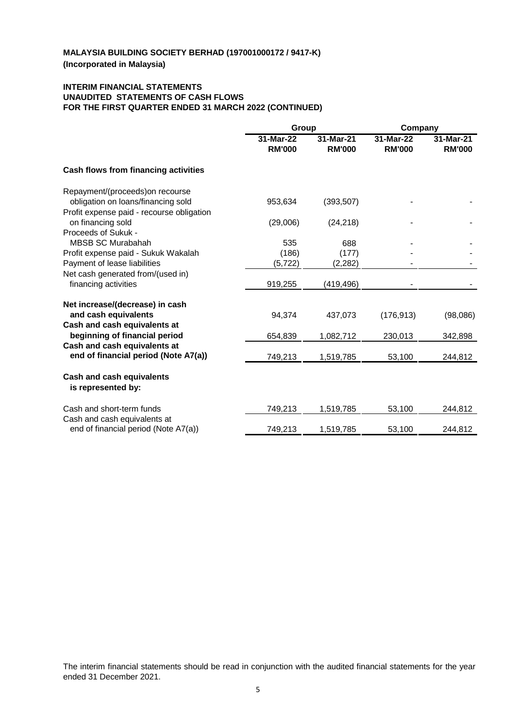## **INTERIM FINANCIAL STATEMENTS UNAUDITED STATEMENTS OF CASH FLOWS FOR THE FIRST QUARTER ENDED 31 MARCH 2022 (CONTINUED)**

|                                                                      | Group                      |                            | Company                    |                            |
|----------------------------------------------------------------------|----------------------------|----------------------------|----------------------------|----------------------------|
|                                                                      | 31-Mar-22<br><b>RM'000</b> | 31-Mar-21<br><b>RM'000</b> | 31-Mar-22<br><b>RM'000</b> | 31-Mar-21<br><b>RM'000</b> |
| Cash flows from financing activities                                 |                            |                            |                            |                            |
| Repayment/(proceeds) on recourse                                     |                            |                            |                            |                            |
| obligation on loans/financing sold                                   | 953,634                    | (393, 507)                 |                            |                            |
| Profit expense paid - recourse obligation                            |                            |                            |                            |                            |
| on financing sold                                                    | (29,006)                   | (24, 218)                  |                            |                            |
| Proceeds of Sukuk -                                                  |                            |                            |                            |                            |
| <b>MBSB SC Murabahah</b>                                             | 535                        | 688                        |                            |                            |
| Profit expense paid - Sukuk Wakalah                                  | (186)                      | (177)                      |                            |                            |
| Payment of lease liabilities                                         | (5, 722)                   | (2,282)                    |                            |                            |
| Net cash generated from/(used in)                                    |                            |                            |                            |                            |
| financing activities                                                 | 919,255                    | (419,496)                  |                            |                            |
| Net increase/(decrease) in cash                                      |                            |                            |                            |                            |
| and cash equivalents                                                 | 94,374                     | 437,073                    | (176, 913)                 | (98,086)                   |
| Cash and cash equivalents at                                         |                            |                            |                            |                            |
| beginning of financial period                                        | 654,839                    | 1,082,712                  | 230,013                    | 342,898                    |
| Cash and cash equivalents at                                         |                            |                            |                            |                            |
| end of financial period (Note A7(a))                                 | 749,213                    | 1,519,785                  | 53,100                     | 244,812                    |
| <b>Cash and cash equivalents</b><br>is represented by:               |                            |                            |                            |                            |
| Cash and short-term funds                                            | 749,213                    | 1,519,785                  | 53,100                     | 244,812                    |
| Cash and cash equivalents at<br>end of financial period (Note A7(a)) | 749,213                    | 1,519,785                  | 53,100                     | 244,812                    |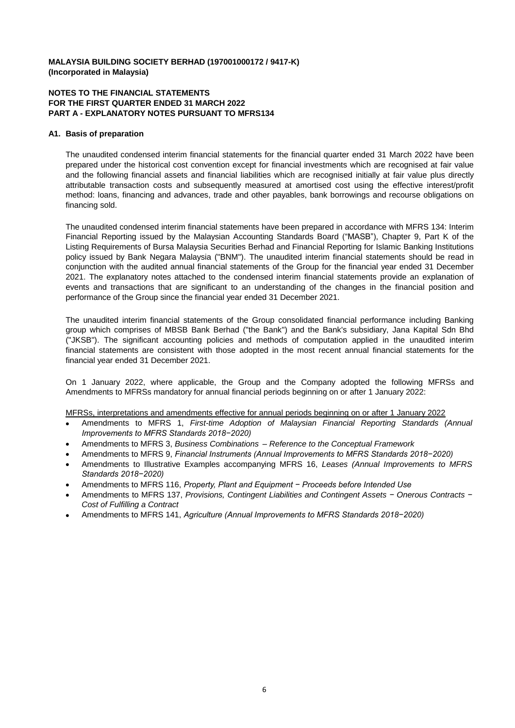#### **NOTES TO THE FINANCIAL STATEMENTS FOR THE FIRST QUARTER ENDED 31 MARCH 2022 PART A - EXPLANATORY NOTES PURSUANT TO MFRS134**

#### **A1. Basis of preparation**

The unaudited condensed interim financial statements for the financial quarter ended 31 March 2022 have been prepared under the historical cost convention except for financial investments which are recognised at fair value and the following financial assets and financial liabilities which are recognised initially at fair value plus directly attributable transaction costs and subsequently measured at amortised cost using the effective interest/profit method: loans, financing and advances, trade and other payables, bank borrowings and recourse obligations on financing sold.

The unaudited condensed interim financial statements have been prepared in accordance with MFRS 134: Interim Financial Reporting issued by the Malaysian Accounting Standards Board ("MASB"), Chapter 9, Part K of the Listing Requirements of Bursa Malaysia Securities Berhad and Financial Reporting for Islamic Banking Institutions policy issued by Bank Negara Malaysia ("BNM"). The unaudited interim financial statements should be read in conjunction with the audited annual financial statements of the Group for the financial year ended 31 December 2021. The explanatory notes attached to the condensed interim financial statements provide an explanation of events and transactions that are significant to an understanding of the changes in the financial position and performance of the Group since the financial year ended 31 December 2021.

The unaudited interim financial statements of the Group consolidated financial performance including Banking group which comprises of MBSB Bank Berhad ("the Bank") and the Bank's subsidiary, Jana Kapital Sdn Bhd ("JKSB"). The significant accounting policies and methods of computation applied in the unaudited interim financial statements are consistent with those adopted in the most recent annual financial statements for the financial year ended 31 December 2021.

On 1 January 2022, where applicable, the Group and the Company adopted the following MFRSs and Amendments to MFRSs mandatory for annual financial periods beginning on or after 1 January 2022:

#### MFRSs, interpretations and amendments effective for annual periods beginning on or after 1 January 2022

- $\bullet$ Amendments to MFRS 1, *First-time Adoption of Malaysian Financial Reporting Standards (Annual Improvements to MFRS Standards 2018−2020)*
- $\bullet$ Amendments to MFRS 3, *Business Combinations* – *Reference to the Conceptual Framework*
- $\bullet$ Amendments to MFRS 9, *Financial Instruments (Annual Improvements to MFRS Standards 2018−2020)*
- $\bullet$ Amendments to Illustrative Examples accompanying MFRS 16, *Leases (Annual Improvements to MFRS Standards 2018−2020)*
- $\bullet$ Amendments to MFRS 116, *Property, Plant and Equipment − Proceeds before Intended Use*
- $\bullet$ Amendments to MFRS 137, *Provisions, Contingent Liabilities and Contingent Assets − Onerous Contracts − Cost of Fulfilling a Contract*
- $\bullet$ Amendments to MFRS 141, *Agriculture (Annual Improvements to MFRS Standards 2018−2020)*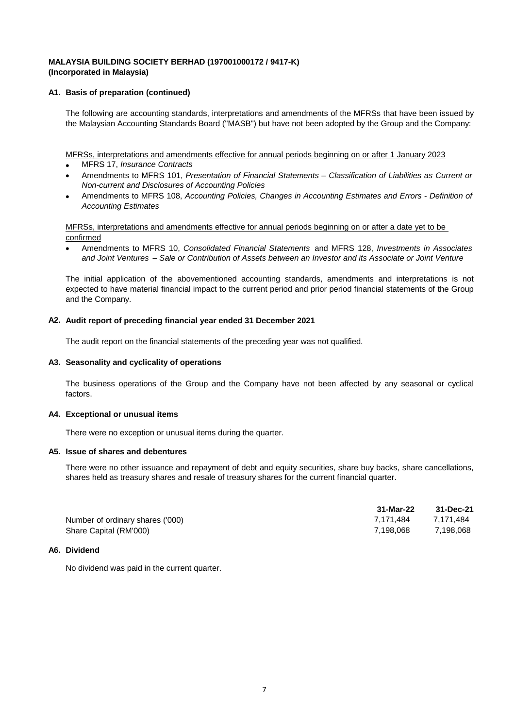#### **A1. Basis of preparation (continued)**

The following are accounting standards, interpretations and amendments of the MFRSs that have been issued by the Malaysian Accounting Standards Board ("MASB") but have not been adopted by the Group and the Company:

MFRSs, interpretations and amendments effective for annual periods beginning on or after 1 January 2023

- MFRS 17, *Insurance Contracts*
- $\bullet$ Amendments to MFRS 101, *Presentation of Financial Statements – Classification of Liabilities as Current or Non-current and Disclosures of Accounting Policies*
- $\bullet$ Amendments to MFRS 108, *Accounting Policies, Changes in Accounting Estimates and Errors - Definition of Accounting Estimates*

confirmed MFRSs, interpretations and amendments effective for annual periods beginning on or after a date yet to be

 $\bullet$ Amendments to MFRS 10, *Consolidated Financial Statements* and MFRS 128, *Investments in Associates and Joint Ventures* – *Sale or Contribution of Assets between an Investor and its Associate or Joint Venture*

The initial application of the abovementioned accounting standards, amendments and interpretations is not expected to have material financial impact to the current period and prior period financial statements of the Group and the Company.

#### **A2. Audit report of preceding financial year ended 31 December 2021**

The audit report on the financial statements of the preceding year was not qualified.

#### **A3. Seasonality and cyclicality of operations**

The business operations of the Group and the Company have not been affected by any seasonal or cyclical factors.

#### **A4. Exceptional or unusual items**

There were no exception or unusual items during the quarter.

#### **A5. Issue of shares and debentures**

There were no other issuance and repayment of debt and equity securities, share buy backs, share cancellations, shares held as treasury shares and resale of treasury shares for the current financial quarter.

|                                  | 31-Mar-22 | 31-Dec-21 |
|----------------------------------|-----------|-----------|
| Number of ordinary shares ('000) | 7.171.484 | 7.171.484 |
| Share Capital (RM'000)           | 7.198.068 | 7.198.068 |

#### **A6. Dividend**

No dividend was paid in the current quarter.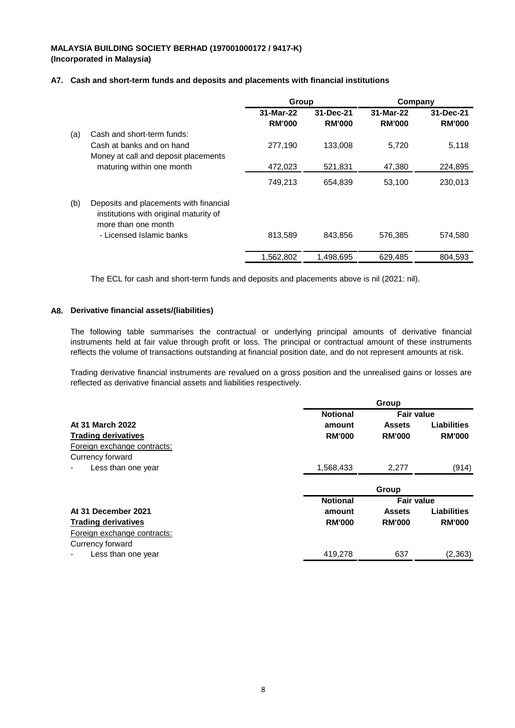### **A7. Cash and short-term funds and deposits and placements with financial institutions**

|     |                                                                                                         | Group                      |                            | Company                    |                            |
|-----|---------------------------------------------------------------------------------------------------------|----------------------------|----------------------------|----------------------------|----------------------------|
|     |                                                                                                         | 31-Mar-22<br><b>RM'000</b> | 31-Dec-21<br><b>RM'000</b> | 31-Mar-22<br><b>RM'000</b> | 31-Dec-21<br><b>RM'000</b> |
| (a) | Cash and short-term funds:                                                                              |                            |                            |                            |                            |
|     | Cash at banks and on hand<br>Money at call and deposit placements                                       | 277,190                    | 133,008                    | 5,720                      | 5,118                      |
|     | maturing within one month                                                                               | 472,023                    | 521,831                    | 47,380                     | 224,895                    |
|     |                                                                                                         | 749,213                    | 654,839                    | 53,100                     | 230,013                    |
| (b) | Deposits and placements with financial<br>institutions with original maturity of<br>more than one month |                            |                            |                            |                            |
|     | - Licensed Islamic banks                                                                                | 813.589                    | 843.856                    | 576,385                    | 574,580                    |
|     |                                                                                                         | 1,562,802                  | 1,498,695                  | 629,485                    | 804,593                    |

The ECL for cash and short-term funds and deposits and placements above is nil (2021: nil).

#### **A8. Derivative financial assets/(liabilities)**

The following table summarises the contractual or underlying principal amounts of derivative financial instruments held at fair value through profit or loss. The principal or contractual amount of these instruments reflects the volume of transactions outstanding at financial position date, and do not represent amounts at risk.

Trading derivative financial instruments are revalued on a gross position and the unrealised gains or losses are reflected as derivative financial assets and liabilities respectively.

|                             |                 | Group             |                    |
|-----------------------------|-----------------|-------------------|--------------------|
|                             | <b>Notional</b> | <b>Fair value</b> |                    |
| At 31 March 2022            | amount          | <b>Assets</b>     | <b>Liabilities</b> |
| <b>Trading derivatives</b>  | <b>RM'000</b>   | <b>RM'000</b>     | <b>RM'000</b>      |
| Foreign exchange contracts: |                 |                   |                    |
| Currency forward            |                 |                   |                    |
| Less than one year          | 1,568,433       | 2,277             | (914)              |
|                             |                 | Group             |                    |
|                             | <b>Notional</b> | <b>Fair value</b> |                    |
| At 31 December 2021         | amount          | <b>Assets</b>     | <b>Liabilities</b> |
| <b>Trading derivatives</b>  | <b>RM'000</b>   | <b>RM'000</b>     | <b>RM'000</b>      |
| Foreign exchange contracts: |                 |                   |                    |
| Currency forward            |                 |                   |                    |
| Less than one year          | 419,278         | 637               | (2,363)            |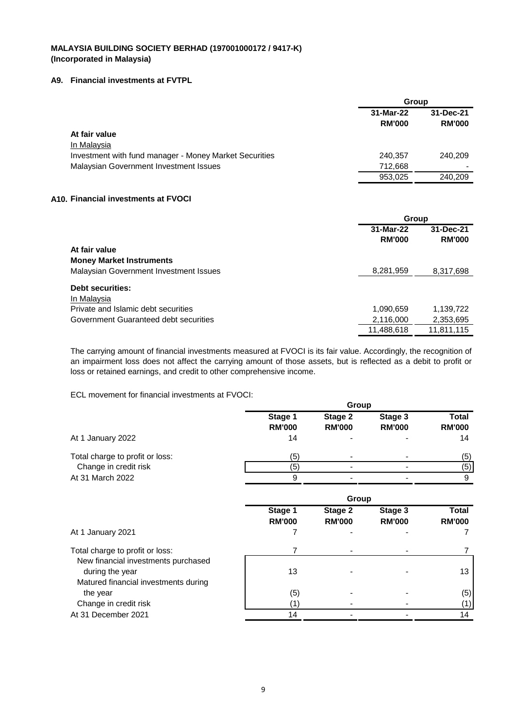### **A9. Financial investments at FVTPL**

|                                                        | Group                      |                            |
|--------------------------------------------------------|----------------------------|----------------------------|
|                                                        | 31-Mar-22<br><b>RM'000</b> | 31-Dec-21<br><b>RM'000</b> |
| At fair value                                          |                            |                            |
| In Malaysia                                            |                            |                            |
| Investment with fund manager - Money Market Securities | 240,357                    | 240,209                    |
| Malaysian Government Investment Issues                 | 712.668                    |                            |
|                                                        | 953,025                    | 240.209                    |

### **A10. Financial investments at FVOCI**

|                                        |                            | Group                      |  |  |
|----------------------------------------|----------------------------|----------------------------|--|--|
|                                        | 31-Mar-22<br><b>RM'000</b> | 31-Dec-21<br><b>RM'000</b> |  |  |
| At fair value                          |                            |                            |  |  |
| <b>Money Market Instruments</b>        |                            |                            |  |  |
| Malaysian Government Investment Issues | 8,281,959                  | 8,317,698                  |  |  |
| <b>Debt securities:</b><br>In Malaysia |                            |                            |  |  |
| Private and Islamic debt securities    | 1,090,659                  | 1,139,722                  |  |  |
| Government Guaranteed debt securities  | 2,116,000                  | 2,353,695                  |  |  |
|                                        | 11,488,618                 | 11,811,115                 |  |  |

The carrying amount of financial investments measured at FVOCI is its fair value. Accordingly, the recognition of an impairment loss does not affect the carrying amount of those assets, but is reflected as a debit to profit or loss or retained earnings, and credit to other comprehensive income.

ECL movement for financial investments at FVOCI:

|                                                                                                | Group                    |                          |                          |                               |  |
|------------------------------------------------------------------------------------------------|--------------------------|--------------------------|--------------------------|-------------------------------|--|
|                                                                                                | Stage 1<br><b>RM'000</b> | Stage 2<br><b>RM'000</b> | Stage 3<br><b>RM'000</b> | <b>Total</b><br><b>RM'000</b> |  |
| At 1 January 2022                                                                              | 14                       |                          |                          | 14                            |  |
| Total charge to profit or loss:                                                                | (5)                      |                          |                          | (5)                           |  |
| Change in credit risk                                                                          | (5)                      |                          |                          | (5)                           |  |
| At 31 March 2022                                                                               | 9                        |                          |                          | 9                             |  |
|                                                                                                |                          | Group                    |                          |                               |  |
|                                                                                                | Stage 1<br><b>RM'000</b> | Stage 2<br><b>RM'000</b> | Stage 3<br><b>RM'000</b> | <b>Total</b><br><b>RM'000</b> |  |
| At 1 January 2021                                                                              | 7                        |                          |                          |                               |  |
| Total charge to profit or loss:                                                                | 7                        |                          |                          |                               |  |
| New financial investments purchased<br>during the year<br>Matured financial investments during | 13                       |                          |                          | 13                            |  |
| the year                                                                                       | (5)                      |                          |                          | (5)                           |  |
| Change in credit risk                                                                          | (1)                      |                          |                          | (1)                           |  |
| At 31 December 2021                                                                            | 14                       |                          |                          | 14                            |  |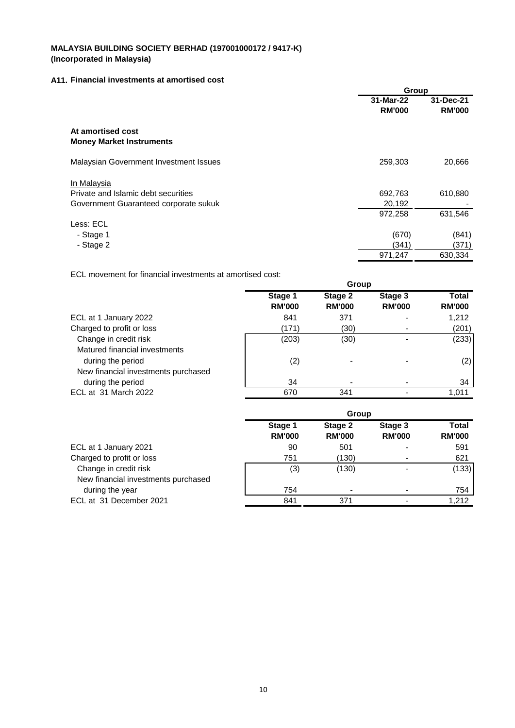### **A11. Financial investments at amortised cost**

|                                                      | Group                      |                            |  |
|------------------------------------------------------|----------------------------|----------------------------|--|
|                                                      | 31-Mar-22<br><b>RM'000</b> | 31-Dec-21<br><b>RM'000</b> |  |
| At amortised cost<br><b>Money Market Instruments</b> |                            |                            |  |
| Malaysian Government Investment Issues               | 259,303                    | 20,666                     |  |
| In Malaysia                                          |                            |                            |  |
| Private and Islamic debt securities                  | 692,763                    | 610,880                    |  |
| Government Guaranteed corporate sukuk                | 20,192                     |                            |  |
|                                                      | 972,258                    | 631,546                    |  |
| Less: ECL                                            |                            |                            |  |
| - Stage 1                                            | (670)                      | (841)                      |  |
| - Stage 2                                            | (341)                      | (371)                      |  |
|                                                      | 971,247                    | 630,334                    |  |

ECL movement for financial investments at amortised cost:

|                                     | Group                    |                          |                          |                        |
|-------------------------------------|--------------------------|--------------------------|--------------------------|------------------------|
|                                     | Stage 1<br><b>RM'000</b> | Stage 2<br><b>RM'000</b> | Stage 3<br><b>RM'000</b> | Total<br><b>RM'000</b> |
| ECL at 1 January 2022               | 841                      | 371                      |                          | 1,212                  |
| Charged to profit or loss           | (171)                    | (30)                     |                          | (201)                  |
| Change in credit risk               | (203)                    | (30)                     |                          | (233)                  |
| Matured financial investments       |                          |                          |                          |                        |
| during the period                   | (2)                      |                          |                          | (2)                    |
| New financial investments purchased |                          |                          |                          |                        |
| during the period                   | 34                       |                          |                          | 34                     |
| ECL at 31 March 2022                | 670                      | 341                      |                          | 1.011                  |

|                                                              | Group                    |                          |                          |                        |  |
|--------------------------------------------------------------|--------------------------|--------------------------|--------------------------|------------------------|--|
|                                                              | Stage 1<br><b>RM'000</b> | Stage 2<br><b>RM'000</b> | Stage 3<br><b>RM'000</b> | Total<br><b>RM'000</b> |  |
| ECL at 1 January 2021                                        | 90                       | 501                      | $\blacksquare$           | 591                    |  |
| Charged to profit or loss                                    | 751                      | (130)                    | $\blacksquare$           | 621                    |  |
| Change in credit risk<br>New financial investments purchased | (3)                      | (130)                    |                          | (133)                  |  |
| during the year                                              | 754                      |                          |                          | 754                    |  |
| ECL at 31 December 2021                                      | 841                      | 371                      |                          | 1,212                  |  |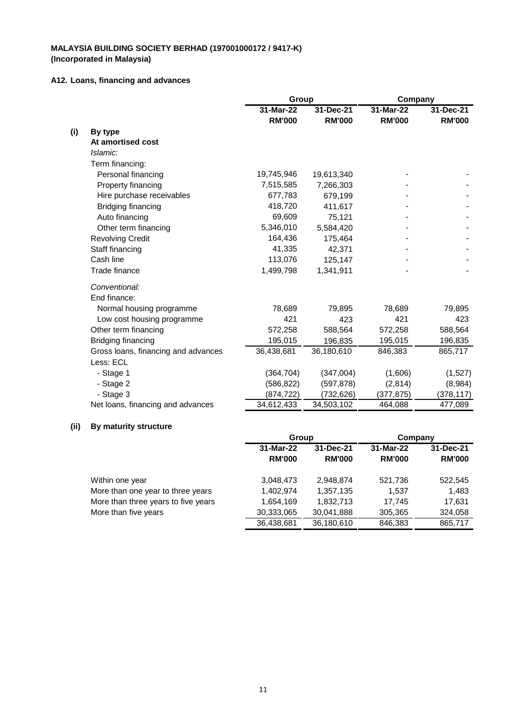### **A12. Loans, financing and advances**

| 31-Mar-22<br>31-Mar-22<br>31-Dec-21<br>31-Dec-21<br><b>RM'000</b><br><b>RM'000</b><br><b>RM'000</b><br><b>RM'000</b><br>(i)<br>By type<br>At amortised cost<br>Islamic:<br>Term financing:<br>Personal financing<br>19,745,946<br>19,613,340<br>Property financing<br>7,515,585<br>7,266,303<br>Hire purchase receivables<br>677,783<br>679,199<br>418,720<br>Bridging financing<br>411,617<br>69,609<br>Auto financing<br>75,121<br>5,346,010<br>Other term financing<br>5,584,420<br>164,436<br><b>Revolving Credit</b><br>175,464<br>41,335<br>Staff financing<br>42,371<br>Cash line<br>113,076<br>125,147<br>Trade finance<br>1,499,798<br>1,341,911<br>Conventional:<br>End finance:<br>Normal housing programme<br>79,895<br>78,689<br>79,895<br>78,689<br>421<br>421<br>423<br>Low cost housing programme<br>423 |
|--------------------------------------------------------------------------------------------------------------------------------------------------------------------------------------------------------------------------------------------------------------------------------------------------------------------------------------------------------------------------------------------------------------------------------------------------------------------------------------------------------------------------------------------------------------------------------------------------------------------------------------------------------------------------------------------------------------------------------------------------------------------------------------------------------------------------|
|                                                                                                                                                                                                                                                                                                                                                                                                                                                                                                                                                                                                                                                                                                                                                                                                                          |
|                                                                                                                                                                                                                                                                                                                                                                                                                                                                                                                                                                                                                                                                                                                                                                                                                          |
|                                                                                                                                                                                                                                                                                                                                                                                                                                                                                                                                                                                                                                                                                                                                                                                                                          |
|                                                                                                                                                                                                                                                                                                                                                                                                                                                                                                                                                                                                                                                                                                                                                                                                                          |
|                                                                                                                                                                                                                                                                                                                                                                                                                                                                                                                                                                                                                                                                                                                                                                                                                          |
|                                                                                                                                                                                                                                                                                                                                                                                                                                                                                                                                                                                                                                                                                                                                                                                                                          |
|                                                                                                                                                                                                                                                                                                                                                                                                                                                                                                                                                                                                                                                                                                                                                                                                                          |
|                                                                                                                                                                                                                                                                                                                                                                                                                                                                                                                                                                                                                                                                                                                                                                                                                          |
|                                                                                                                                                                                                                                                                                                                                                                                                                                                                                                                                                                                                                                                                                                                                                                                                                          |
|                                                                                                                                                                                                                                                                                                                                                                                                                                                                                                                                                                                                                                                                                                                                                                                                                          |
|                                                                                                                                                                                                                                                                                                                                                                                                                                                                                                                                                                                                                                                                                                                                                                                                                          |
|                                                                                                                                                                                                                                                                                                                                                                                                                                                                                                                                                                                                                                                                                                                                                                                                                          |
|                                                                                                                                                                                                                                                                                                                                                                                                                                                                                                                                                                                                                                                                                                                                                                                                                          |
|                                                                                                                                                                                                                                                                                                                                                                                                                                                                                                                                                                                                                                                                                                                                                                                                                          |
|                                                                                                                                                                                                                                                                                                                                                                                                                                                                                                                                                                                                                                                                                                                                                                                                                          |
|                                                                                                                                                                                                                                                                                                                                                                                                                                                                                                                                                                                                                                                                                                                                                                                                                          |
|                                                                                                                                                                                                                                                                                                                                                                                                                                                                                                                                                                                                                                                                                                                                                                                                                          |
|                                                                                                                                                                                                                                                                                                                                                                                                                                                                                                                                                                                                                                                                                                                                                                                                                          |
|                                                                                                                                                                                                                                                                                                                                                                                                                                                                                                                                                                                                                                                                                                                                                                                                                          |
|                                                                                                                                                                                                                                                                                                                                                                                                                                                                                                                                                                                                                                                                                                                                                                                                                          |
| Other term financing<br>572,258<br>588,564<br>588,564<br>572,258                                                                                                                                                                                                                                                                                                                                                                                                                                                                                                                                                                                                                                                                                                                                                         |
| Bridging financing<br>195,015<br>195,015<br>196,835<br>196,835                                                                                                                                                                                                                                                                                                                                                                                                                                                                                                                                                                                                                                                                                                                                                           |
| Gross loans, financing and advances<br>36,438,681<br>36,180,610<br>846,383<br>865,717                                                                                                                                                                                                                                                                                                                                                                                                                                                                                                                                                                                                                                                                                                                                    |
| Less: ECL                                                                                                                                                                                                                                                                                                                                                                                                                                                                                                                                                                                                                                                                                                                                                                                                                |
| (364, 704)<br>- Stage 1<br>(347,004)<br>(1,606)<br>(1,527)                                                                                                                                                                                                                                                                                                                                                                                                                                                                                                                                                                                                                                                                                                                                                               |
| - Stage 2<br>(586, 822)<br>(597, 878)<br>(2,814)<br>(8,984)                                                                                                                                                                                                                                                                                                                                                                                                                                                                                                                                                                                                                                                                                                                                                              |
| - Stage 3<br>(732, 626)<br>(378, 117)<br>(874, 722)<br>(377, 875)                                                                                                                                                                                                                                                                                                                                                                                                                                                                                                                                                                                                                                                                                                                                                        |
| Net loans, financing and advances<br>34,612,433<br>34,503,102<br>464,088<br>477,089                                                                                                                                                                                                                                                                                                                                                                                                                                                                                                                                                                                                                                                                                                                                      |

## **(ii) By maturity structure**

|                                     | Group         |               | Company       |               |
|-------------------------------------|---------------|---------------|---------------|---------------|
|                                     | 31-Mar-22     | 31-Dec-21     | 31-Mar-22     | 31-Dec-21     |
|                                     | <b>RM'000</b> | <b>RM'000</b> | <b>RM'000</b> | <b>RM'000</b> |
| Within one year                     | 3,048,473     | 2,948,874     | 521,736       | 522,545       |
| More than one year to three years   | 1,402,974     | 1,357,135     | 1.537         | 1,483         |
| More than three years to five years | 1,654,169     | 1,832,713     | 17.745        | 17.631        |
| More than five years                | 30,333,065    | 30,041,888    | 305,365       | 324,058       |
|                                     | 36,438,681    | 36,180,610    | 846.383       | 865,717       |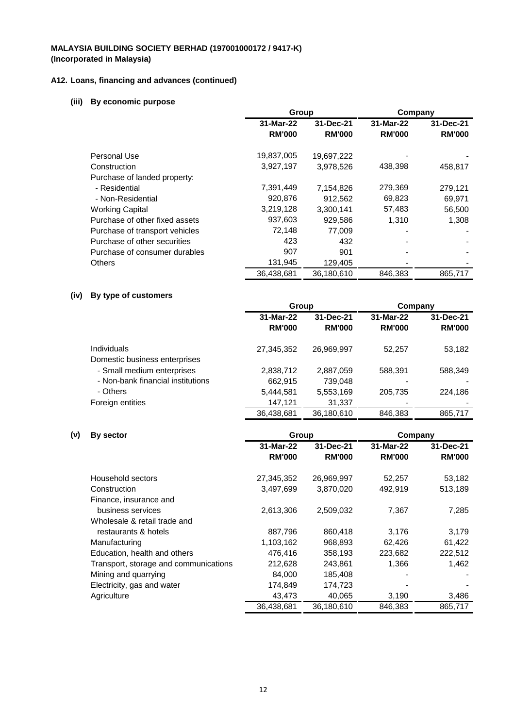## **A12. Loans, financing and advances (continued)**

## **(iii) By economic purpose**

|                                | Group         |               | Company       |               |
|--------------------------------|---------------|---------------|---------------|---------------|
|                                | 31-Mar-22     | 31-Dec-21     | 31-Mar-22     | 31-Dec-21     |
|                                | <b>RM'000</b> | <b>RM'000</b> | <b>RM'000</b> | <b>RM'000</b> |
| Personal Use                   | 19,837,005    | 19,697,222    |               |               |
| Construction                   | 3,927,197     | 3,978,526     | 438,398       | 458,817       |
| Purchase of landed property:   |               |               |               |               |
| - Residential                  | 7,391,449     | 7,154,826     | 279,369       | 279,121       |
| - Non-Residential              | 920,876       | 912.562       | 69,823        | 69,971        |
| <b>Working Capital</b>         | 3,219,128     | 3.300.141     | 57,483        | 56,500        |
| Purchase of other fixed assets | 937,603       | 929,586       | 1.310         | 1,308         |
| Purchase of transport vehicles | 72,148        | 77,009        |               |               |
| Purchase of other securities   | 423           | 432           |               |               |
| Purchase of consumer durables  | 907           | 901           |               |               |
| <b>Others</b>                  | 131,945       | 129,405       |               |               |
|                                | 36.438.681    | 36.180.610    | 846.383       | 865,717       |

## **(iv) By type of customers**

|                                                     | Group                      |                            | Company                    |                            |
|-----------------------------------------------------|----------------------------|----------------------------|----------------------------|----------------------------|
|                                                     | 31-Mar-22<br><b>RM'000</b> | 31-Dec-21<br><b>RM'000</b> | 31-Mar-22<br><b>RM'000</b> | 31-Dec-21<br><b>RM'000</b> |
| <b>Individuals</b><br>Domestic business enterprises | 27,345,352                 | 26,969,997                 | 52,257                     | 53,182                     |
| - Small medium enterprises                          | 2,838,712                  | 2,887,059                  | 588.391                    | 588,349                    |
| - Non-bank financial institutions                   | 662,915                    | 739,048                    |                            |                            |
| - Others                                            | 5,444,581                  | 5,553,169                  | 205.735                    | 224,186                    |
| Foreign entities                                    | 147,121                    | 31,337                     |                            |                            |
|                                                     | 36,438,681                 | 36.180.610                 | 846.383                    | 865,717                    |

### **(v) By sector**

| By sector                             | Group         |               | Company       |               |
|---------------------------------------|---------------|---------------|---------------|---------------|
|                                       | 31-Mar-22     | 31-Dec-21     | 31-Mar-22     | 31-Dec-21     |
|                                       | <b>RM'000</b> | <b>RM'000</b> | <b>RM'000</b> | <b>RM'000</b> |
| Household sectors                     | 27,345,352    | 26,969,997    | 52,257        | 53,182        |
| Construction                          | 3,497,699     | 3,870,020     | 492,919       | 513,189       |
| Finance, insurance and                |               |               |               |               |
| business services                     | 2,613,306     | 2,509,032     | 7,367         | 7,285         |
| Wholesale & retail trade and          |               |               |               |               |
| restaurants & hotels                  | 887,796       | 860,418       | 3,176         | 3,179         |
| Manufacturing                         | 1,103,162     | 968,893       | 62,426        | 61,422        |
| Education, health and others          | 476.416       | 358,193       | 223,682       | 222,512       |
| Transport, storage and communications | 212,628       | 243,861       | 1,366         | 1,462         |
| Mining and quarrying                  | 84,000        | 185,408       |               |               |
| Electricity, gas and water            | 174,849       | 174,723       |               |               |
| Agriculture                           | 43,473        | 40,065        | 3,190         | 3,486         |
|                                       | 36,438,681    | 36,180,610    | 846,383       | 865,717       |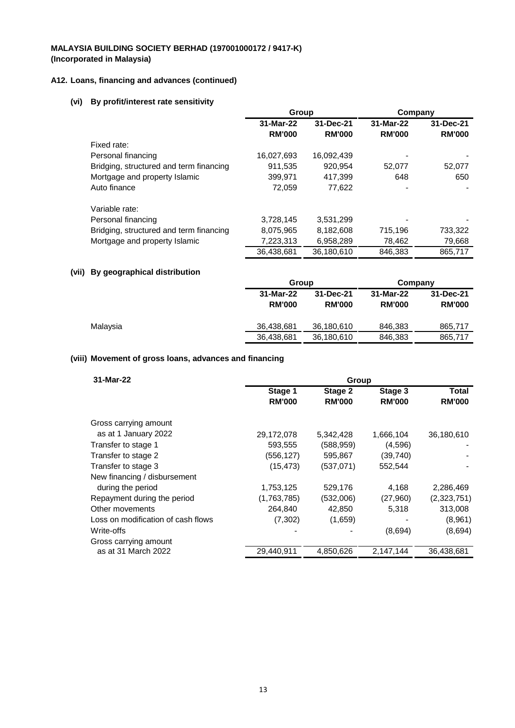## **A12. Loans, financing and advances (continued)**

## **(vi) By profit/interest rate sensitivity**

|                                         | Group         |               | Company       |               |
|-----------------------------------------|---------------|---------------|---------------|---------------|
|                                         | 31-Mar-22     | 31-Dec-21     | 31-Mar-22     | 31-Dec-21     |
|                                         | <b>RM'000</b> | <b>RM'000</b> | <b>RM'000</b> | <b>RM'000</b> |
| Fixed rate:                             |               |               |               |               |
| Personal financing                      | 16,027,693    | 16,092,439    |               |               |
| Bridging, structured and term financing | 911,535       | 920,954       | 52,077        | 52,077        |
| Mortgage and property Islamic           | 399.971       | 417,399       | 648           | 650           |
| Auto finance                            | 72,059        | 77,622        |               |               |
| Variable rate:                          |               |               |               |               |
| Personal financing                      | 3,728,145     | 3,531,299     |               |               |
| Bridging, structured and term financing | 8,075,965     | 8,182,608     | 715,196       | 733,322       |
| Mortgage and property Islamic           | 7,223,313     | 6,958,289     | 78,462        | 79,668        |
|                                         | 36,438,681    | 36,180,610    | 846.383       | 865,717       |

## **(vii) By geographical distribution**

|          |                            | Group                      |                            | Company                    |
|----------|----------------------------|----------------------------|----------------------------|----------------------------|
|          | 31-Mar-22<br><b>RM'000</b> | 31-Dec-21<br><b>RM'000</b> | 31-Mar-22<br><b>RM'000</b> | 31-Dec-21<br><b>RM'000</b> |
| Malaysia | 36.438.681                 | 36,180,610                 | 846,383                    | 865.717                    |
|          | 36,438,681                 | 36,180,610                 | 846,383                    | 865,717                    |

## **(viii) Movement of gross loans, advances and financing**

| 31-Mar-22                          |               | Group         |               |               |
|------------------------------------|---------------|---------------|---------------|---------------|
|                                    | Stage 1       | Stage 2       | Stage 3       | Total         |
|                                    | <b>RM'000</b> | <b>RM'000</b> | <b>RM'000</b> | <b>RM'000</b> |
| Gross carrying amount              |               |               |               |               |
| as at 1 January 2022               | 29,172,078    | 5,342,428     | 1,666,104     | 36,180,610    |
| Transfer to stage 1                | 593,555       | (588, 959)    | (4,596)       |               |
| Transfer to stage 2                | (556, 127)    | 595,867       | (39,740)      |               |
| Transfer to stage 3                | (15, 473)     | (537,071)     | 552,544       |               |
| New financing / disbursement       |               |               |               |               |
| during the period                  | 1,753,125     | 529,176       | 4,168         | 2,286,469     |
| Repayment during the period        | (1,763,785)   | (532,006)     | (27,960)      | (2,323,751)   |
| Other movements                    | 264,840       | 42,850        | 5,318         | 313,008       |
| Loss on modification of cash flows | (7, 302)      | (1,659)       |               | (8,961)       |
| Write-offs                         |               |               | (8,694)       | (8,694)       |
| Gross carrying amount              |               |               |               |               |
| as at 31 March 2022                | 29,440,911    | 4,850,626     | 2,147,144     | 36,438,681    |
|                                    |               |               |               |               |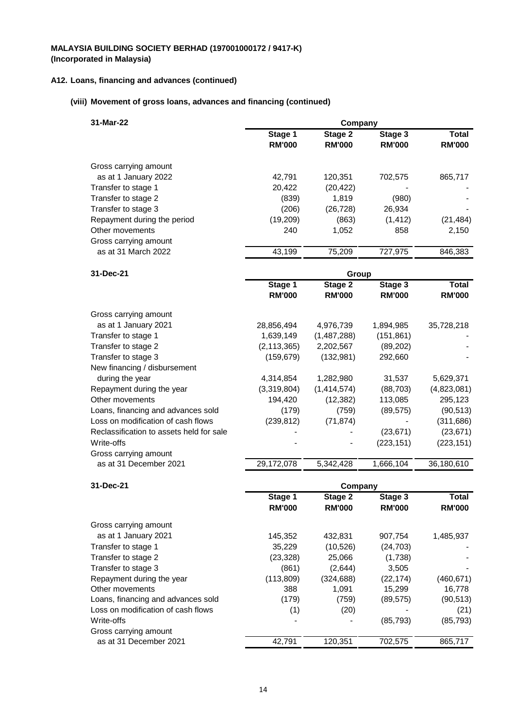### **A12. Loans, financing and advances (continued)**

## **(viii) Movement of gross loans, advances and financing (continued)**

| 31-Mar-22                   |               | Company       |               |               |
|-----------------------------|---------------|---------------|---------------|---------------|
|                             | Stage 1       | Stage 2       | Stage 3       | Total         |
|                             | <b>RM'000</b> | <b>RM'000</b> | <b>RM'000</b> | <b>RM'000</b> |
| Gross carrying amount       |               |               |               |               |
| as at 1 January 2022        | 42.791        | 120,351       | 702.575       | 865,717       |
| Transfer to stage 1         | 20,422        | (20, 422)     |               |               |
| Transfer to stage 2         | (839)         | 1.819         | (980)         |               |
| Transfer to stage 3         | (206)         | (26, 728)     | 26,934        |               |
| Repayment during the period | (19,209)      | (863)         | (1, 412)      | (21, 484)     |
| Other movements             | 240           | 1,052         | 858           | 2,150         |
| Gross carrying amount       |               |               |               |               |
| as at 31 March 2022         | 43.199        | 75.209        | 727.975       | 846.383       |
|                             |               |               |               |               |

| 31-Dec-21                                |               | Group         |               |               |
|------------------------------------------|---------------|---------------|---------------|---------------|
|                                          | Stage 1       | Stage 2       | Stage 3       | Total         |
|                                          | <b>RM'000</b> | <b>RM'000</b> | <b>RM'000</b> | <b>RM'000</b> |
| Gross carrying amount                    |               |               |               |               |
| as at 1 January 2021                     | 28,856,494    | 4,976,739     | 1,894,985     | 35,728,218    |
| Transfer to stage 1                      | 1,639,149     | (1,487,288)   | (151, 861)    |               |
| Transfer to stage 2                      | (2, 113, 365) | 2,202,567     | (89,202)      |               |
| Transfer to stage 3                      | (159, 679)    | (132,981)     | 292,660       |               |
| New financing / disbursement             |               |               |               |               |
| during the year                          | 4,314,854     | 1,282,980     | 31,537        | 5,629,371     |
| Repayment during the year                | (3,319,804)   | (1,414,574)   | (88, 703)     | (4,823,081)   |
| Other movements                          | 194,420       | (12, 382)     | 113,085       | 295,123       |
| Loans, financing and advances sold       | (179)         | (759)         | (89, 575)     | (90, 513)     |
| Loss on modification of cash flows       | (239, 812)    | (71, 874)     |               | (311,686)     |
| Reclassification to assets held for sale |               |               | (23, 671)     | (23, 671)     |
| Write-offs                               |               |               | (223, 151)    | (223, 151)    |
| Gross carrying amount                    |               |               |               |               |
| as at 31 December 2021                   | 29,172,078    | 5,342,428     | 1,666,104     | 36,180,610    |

## **31-Dec-21 Company**

|                                    | Stage 1<br><b>RM'000</b> | Stage 2<br><b>RM'000</b> | Stage 3<br><b>RM'000</b> | Total<br><b>RM'000</b> |
|------------------------------------|--------------------------|--------------------------|--------------------------|------------------------|
| Gross carrying amount              |                          |                          |                          |                        |
| as at 1 January 2021               | 145,352                  | 432,831                  | 907,754                  | 1,485,937              |
| Transfer to stage 1                | 35,229                   | (10,526)                 | (24, 703)                |                        |
| Transfer to stage 2                | (23, 328)                | 25,066                   | (1,738)                  |                        |
| Transfer to stage 3                | (861)                    | (2,644)                  | 3,505                    |                        |
| Repayment during the year          | (113,809)                | (324, 688)               | (22, 174)                | (460, 671)             |
| Other movements                    | 388                      | 1,091                    | 15,299                   | 16,778                 |
| Loans, financing and advances sold | (179)                    | (759)                    | (89, 575)                | (90, 513)              |
| Loss on modification of cash flows | (1)                      | (20)                     |                          | (21)                   |
| Write-offs                         |                          |                          | (85, 793)                | (85, 793)              |
| Gross carrying amount              |                          |                          |                          |                        |
| as at 31 December 2021             | 42.791                   | 120,351                  | 702,575                  | 865,717                |
|                                    |                          |                          |                          |                        |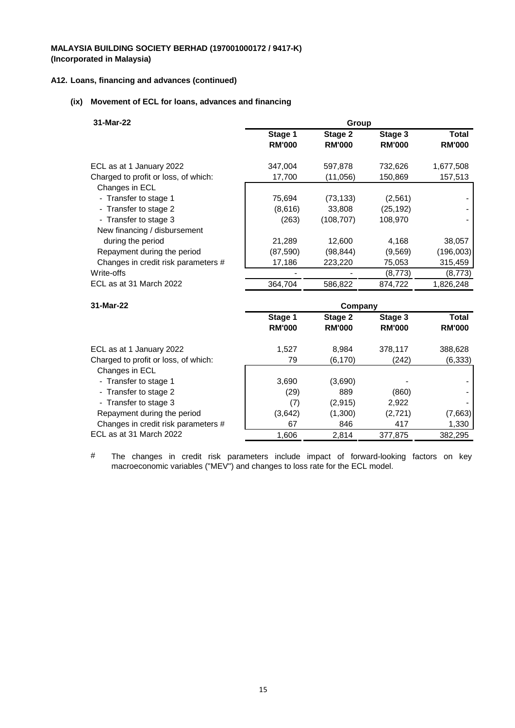## **A12. Loans, financing and advances (continued)**

## **(ix) Movement of ECL for loans, advances and financing**

| 31-Mar-22                            |               | Group         |               |               |  |
|--------------------------------------|---------------|---------------|---------------|---------------|--|
|                                      | Stage 1       | Stage 2       | Stage 3       | Total         |  |
|                                      | <b>RM'000</b> | <b>RM'000</b> | <b>RM'000</b> | <b>RM'000</b> |  |
| ECL as at 1 January 2022             | 347.004       | 597.878       | 732,626       | 1,677,508     |  |
| Charged to profit or loss, of which: | 17,700        | (11,056)      | 150,869       | 157,513       |  |
| Changes in ECL                       |               |               |               |               |  |
| - Transfer to stage 1                | 75,694        | (73, 133)     | (2,561)       |               |  |
| - Transfer to stage 2                | (8,616)       | 33,808        | (25, 192)     |               |  |
| - Transfer to stage 3                | (263)         | (108, 707)    | 108,970       |               |  |
| New financing / disbursement         |               |               |               |               |  |
| during the period                    | 21,289        | 12,600        | 4,168         | 38,057        |  |
| Repayment during the period          | (87,590)      | (98, 844)     | (9, 569)      | (196,003)     |  |
| Changes in credit risk parameters #  | 17,186        | 223,220       | 75,053        | 315,459       |  |
| Write-offs                           |               |               | (8,773)       | (8,773)       |  |
| ECL as at 31 March 2022              | 364,704       | 586,822       | 874,722       | 1,826,248     |  |
|                                      |               |               |               |               |  |

| 31-Mar-22                            | Company       |               |               |               |
|--------------------------------------|---------------|---------------|---------------|---------------|
|                                      | Stage 1       | Stage 2       | Stage 3       | Total         |
|                                      | <b>RM'000</b> | <b>RM'000</b> | <b>RM'000</b> | <b>RM'000</b> |
| ECL as at 1 January 2022             | 1.527         | 8.984         | 378.117       | 388,628       |
| Charged to profit or loss, of which: | 79            | (6, 170)      | (242)         | (6, 333)      |
| Changes in ECL                       |               |               |               |               |
| - Transfer to stage 1                | 3,690         | (3,690)       |               |               |
| - Transfer to stage 2                | (29)          | 889           | (860)         |               |
| - Transfer to stage 3                | (7)           | (2,915)       | 2.922         |               |
| Repayment during the period          | (3,642)       | (1,300)       | (2, 721)      | (7,663)       |
| Changes in credit risk parameters #  | 67            | 846           | 417           | 1,330         |
| ECL as at 31 March 2022              | 1,606         | 2.814         | 377.875       | 382,295       |

# The changes in credit risk parameters include impact of forward-looking factors on key macroeconomic variables ("MEV") and changes to loss rate for the ECL model.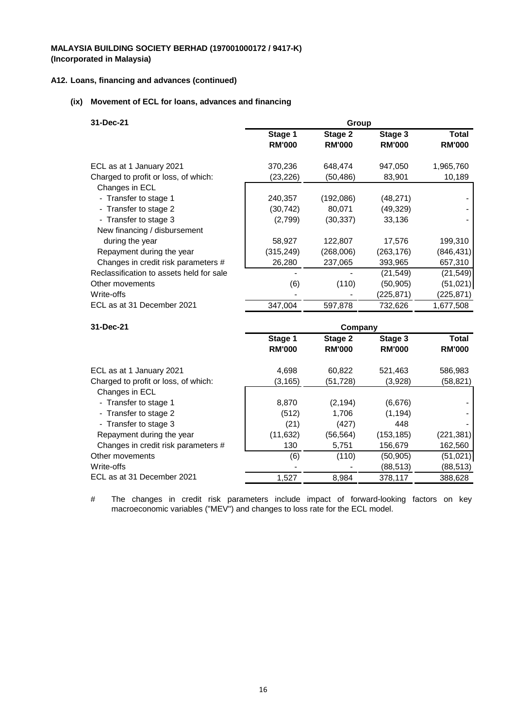### **A12. Loans, financing and advances (continued)**

## **(ix) Movement of ECL for loans, advances and financing**

| 31-Dec-21                                | Group         |               |               |               |  |
|------------------------------------------|---------------|---------------|---------------|---------------|--|
|                                          | Stage 1       | Stage 2       | Stage 3       | Total         |  |
|                                          | <b>RM'000</b> | <b>RM'000</b> | <b>RM'000</b> | <b>RM'000</b> |  |
| ECL as at 1 January 2021                 | 370,236       | 648,474       | 947,050       | 1,965,760     |  |
| Charged to profit or loss, of which:     | (23, 226)     | (50, 486)     | 83,901        | 10,189        |  |
| Changes in ECL                           |               |               |               |               |  |
| - Transfer to stage 1                    | 240,357       | (192,086)     | (48, 271)     |               |  |
| - Transfer to stage 2                    | (30, 742)     | 80,071        | (49, 329)     |               |  |
| - Transfer to stage 3                    | (2,799)       | (30, 337)     | 33,136        |               |  |
| New financing / disbursement             |               |               |               |               |  |
| during the year                          | 58,927        | 122,807       | 17,576        | 199,310       |  |
| Repayment during the year                | (315, 249)    | (268,006)     | (263,176)     | (846, 431)    |  |
| Changes in credit risk parameters #      | 26,280        | 237,065       | 393,965       | 657,310       |  |
| Reclassification to assets held for sale |               |               | (21, 549)     | (21, 549)     |  |
| Other movements                          | (6)           | (110)         | (50, 905)     | (51,021)      |  |
| Write-offs                               |               |               | (225,871)     | (225,871)     |  |
| ECL as at 31 December 2021               | 347,004       | 597,878       | 732,626       | 1,677,508     |  |

| 31-Dec-21                            | Company       |               |               |               |
|--------------------------------------|---------------|---------------|---------------|---------------|
|                                      | Stage 1       | Stage 2       | Stage 3       | Total         |
|                                      | <b>RM'000</b> | <b>RM'000</b> | <b>RM'000</b> | <b>RM'000</b> |
| ECL as at 1 January 2021             | 4,698         | 60,822        | 521,463       | 586,983       |
| Charged to profit or loss, of which: | (3, 165)      | (51,728)      | (3,928)       | (58,821)      |
| Changes in ECL                       |               |               |               |               |
| - Transfer to stage 1                | 8,870         | (2, 194)      | (6,676)       |               |
| - Transfer to stage 2                | (512)         | 1.706         | (1, 194)      |               |
| - Transfer to stage 3                | (21)          | (427)         | 448           |               |
| Repayment during the year            | (11, 632)     | (56, 564)     | (153, 185)    | (221, 381)    |
| Changes in credit risk parameters #  | 130           | 5,751         | 156,679       | 162,560       |
| Other movements                      | (6)           | (110)         | (50, 905)     | (51,021)      |
| Write-offs                           |               |               | (88,513)      | (88, 513)     |
| ECL as at 31 December 2021           | 1,527         | 8,984         | 378,117       | 388,628       |

# The changes in credit risk parameters include impact of forward-looking factors on key macroeconomic variables ("MEV") and changes to loss rate for the ECL model.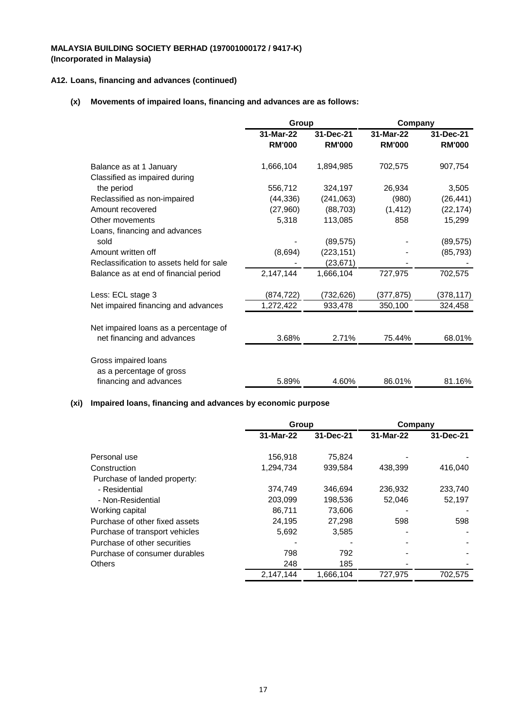## **A12. Loans, financing and advances (continued)**

## **(x) Movements of impaired loans, financing and advances are as follows:**

|                                          | Group         |               | Company       |               |
|------------------------------------------|---------------|---------------|---------------|---------------|
|                                          | 31-Mar-22     | 31-Dec-21     | 31-Mar-22     | 31-Dec-21     |
|                                          | <b>RM'000</b> | <b>RM'000</b> | <b>RM'000</b> | <b>RM'000</b> |
| Balance as at 1 January                  | 1,666,104     | 1,894,985     | 702,575       | 907,754       |
| Classified as impaired during            |               |               |               |               |
| the period                               | 556,712       | 324,197       | 26,934        | 3,505         |
| Reclassified as non-impaired             | (44, 336)     | (241,063)     | (980)         | (26, 441)     |
| Amount recovered                         | (27,960)      | (88, 703)     | (1, 412)      | (22, 174)     |
| Other movements                          | 5,318         | 113,085       | 858           | 15,299        |
| Loans, financing and advances            |               |               |               |               |
| sold                                     |               | (89, 575)     |               | (89, 575)     |
| Amount written off                       | (8,694)       | (223, 151)    |               | (85, 793)     |
| Reclassification to assets held for sale |               | (23,671)      |               |               |
| Balance as at end of financial period    | 2,147,144     | 1,666,104     | 727,975       | 702,575       |
| Less: ECL stage 3                        | (874,722)     | (732, 626)    | (377,875)     | (378, 117)    |
| Net impaired financing and advances      | 1,272,422     | 933,478       | 350,100       | 324,458       |
| Net impaired loans as a percentage of    |               |               |               |               |
| net financing and advances               | 3.68%         | 2.71%         | 75.44%        | 68.01%        |
| Gross impaired loans                     |               |               |               |               |
| as a percentage of gross                 |               |               |               |               |
| financing and advances                   | 5.89%         | 4.60%         | 86.01%        | 81.16%        |

### **(xi) Impaired loans, financing and advances by economic purpose**

|                                | Group     |           | Company   |           |
|--------------------------------|-----------|-----------|-----------|-----------|
|                                | 31-Mar-22 | 31-Dec-21 | 31-Mar-22 | 31-Dec-21 |
| Personal use                   | 156,918   | 75,824    |           |           |
| Construction                   | 1.294.734 | 939,584   | 438.399   | 416,040   |
| Purchase of landed property:   |           |           |           |           |
| - Residential                  | 374.749   | 346.694   | 236,932   | 233,740   |
| - Non-Residential              | 203,099   | 198,536   | 52,046    | 52,197    |
| Working capital                | 86.711    | 73.606    |           |           |
| Purchase of other fixed assets | 24,195    | 27,298    | 598       | 598       |
| Purchase of transport vehicles | 5,692     | 3.585     |           |           |
| Purchase of other securities   |           |           |           |           |
| Purchase of consumer durables  | 798       | 792       |           |           |
| <b>Others</b>                  | 248       | 185       |           |           |
|                                | 2.147.144 | 1,666,104 | 727.975   | 702.575   |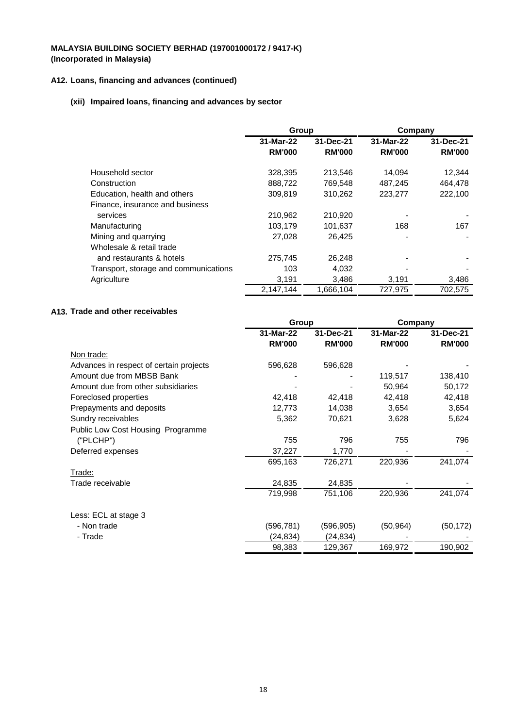## **A12. Loans, financing and advances (continued)**

## **(xii) Impaired loans, financing and advances by sector**

|                                       | Group         |               | Company       |               |
|---------------------------------------|---------------|---------------|---------------|---------------|
|                                       | 31-Mar-22     | 31-Dec-21     | 31-Mar-22     | 31-Dec-21     |
|                                       | <b>RM'000</b> | <b>RM'000</b> | <b>RM'000</b> | <b>RM'000</b> |
| Household sector                      | 328,395       | 213,546       | 14,094        | 12,344        |
| Construction                          | 888,722       | 769,548       | 487,245       | 464.478       |
| Education, health and others          | 309,819       | 310,262       | 223,277       | 222,100       |
| Finance, insurance and business       |               |               |               |               |
| services                              | 210,962       | 210,920       |               |               |
| Manufacturing                         | 103,179       | 101,637       | 168           | 167           |
| Mining and quarrying                  | 27,028        | 26.425        |               |               |
| Wholesale & retail trade              |               |               |               |               |
| and restaurants & hotels              | 275.745       | 26,248        |               |               |
| Transport, storage and communications | 103           | 4,032         |               |               |
| Agriculture                           | 3,191         | 3.486         | 3,191         | 3,486         |
|                                       | 2,147,144     | 1,666,104     | 727,975       | 702,575       |

## **A13. Trade and other receivables**

|                                         | Group         |               | Company       |               |
|-----------------------------------------|---------------|---------------|---------------|---------------|
|                                         | 31-Mar-22     | 31-Dec-21     | 31-Mar-22     | 31-Dec-21     |
|                                         | <b>RM'000</b> | <b>RM'000</b> | <b>RM'000</b> | <b>RM'000</b> |
| Non trade:                              |               |               |               |               |
| Advances in respect of certain projects | 596,628       | 596,628       |               |               |
| Amount due from MBSB Bank               |               |               | 119,517       | 138,410       |
| Amount due from other subsidiaries      |               |               | 50,964        | 50,172        |
| Foreclosed properties                   | 42,418        | 42,418        | 42,418        | 42,418        |
| Prepayments and deposits                | 12,773        | 14,038        | 3,654         | 3,654         |
| Sundry receivables                      | 5,362         | 70,621        | 3,628         | 5,624         |
| Public Low Cost Housing Programme       |               |               |               |               |
| ("PLCHP")                               | 755           | 796           | 755           | 796           |
| Deferred expenses                       | 37,227        | 1,770         |               |               |
|                                         | 695,163       | 726,271       | 220,936       | 241,074       |
| Trade:                                  |               |               |               |               |
| Trade receivable                        | 24,835        | 24,835        |               |               |
|                                         | 719,998       | 751,106       | 220,936       | 241,074       |
| Less: ECL at stage 3                    |               |               |               |               |
| - Non trade                             | (596, 781)    | (596, 905)    | (50, 964)     | (50, 172)     |
| - Trade                                 | (24,834)      | (24,834)      |               |               |
|                                         | 98,383        | 129,367       | 169,972       | 190,902       |
|                                         |               |               |               |               |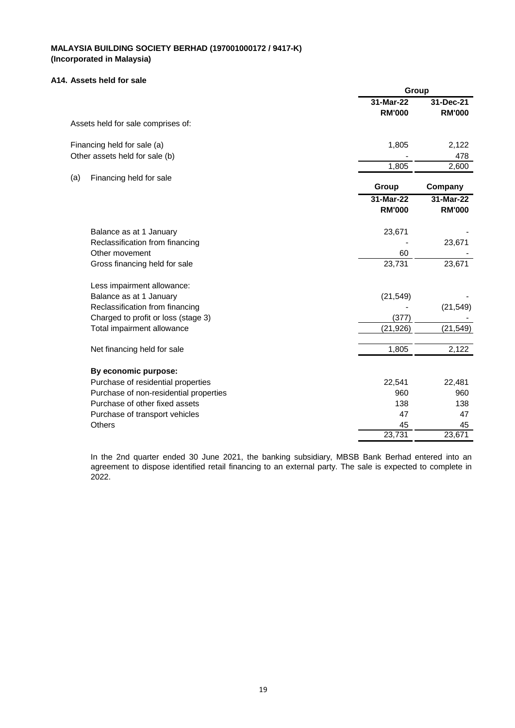#### **A14. Assets held for sale**

|                                        | Group         |               |
|----------------------------------------|---------------|---------------|
|                                        | 31-Mar-22     | 31-Dec-21     |
|                                        | <b>RM'000</b> | <b>RM'000</b> |
| Assets held for sale comprises of:     |               |               |
| Financing held for sale (a)            | 1,805         | 2,122         |
| Other assets held for sale (b)         |               | 478           |
|                                        | 1,805         | 2,600         |
| (a)<br>Financing held for sale         |               |               |
|                                        | Group         | Company       |
|                                        | 31-Mar-22     | 31-Mar-22     |
|                                        | <b>RM'000</b> | <b>RM'000</b> |
| Balance as at 1 January                | 23,671        |               |
| Reclassification from financing        |               | 23,671        |
| Other movement                         | 60            |               |
| Gross financing held for sale          | 23,731        | 23,671        |
| Less impairment allowance:             |               |               |
| Balance as at 1 January                | (21, 549)     |               |
| Reclassification from financing        |               | (21, 549)     |
| Charged to profit or loss (stage 3)    | (377)         |               |
| Total impairment allowance             | (21, 926)     | (21, 549)     |
| Net financing held for sale            | 1,805         | 2,122         |
| By economic purpose:                   |               |               |
| Purchase of residential properties     | 22,541        | 22,481        |
| Purchase of non-residential properties | 960           | 960           |
| Purchase of other fixed assets         | 138           | 138           |
| Purchase of transport vehicles         | 47            | 47            |
| <b>Others</b>                          | 45            | 45            |
|                                        | 23,731        | 23,671        |

In the 2nd quarter ended 30 June 2021, the banking subsidiary, MBSB Bank Berhad entered into an agreement to dispose identified retail financing to an external party. The sale is expected to complete in 2022.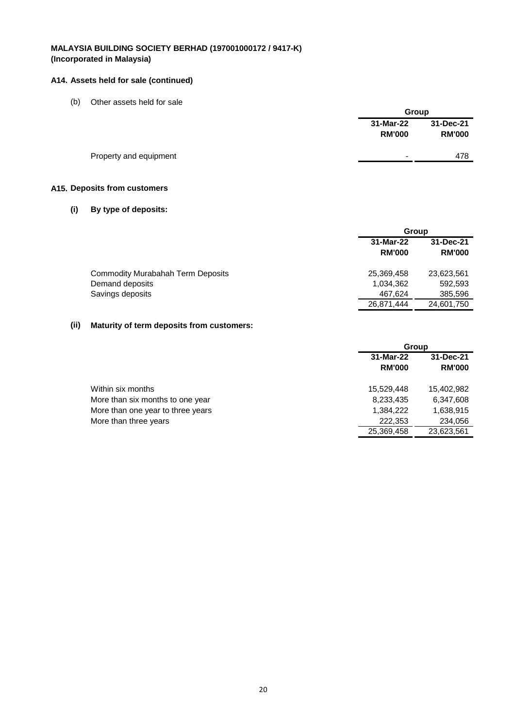### **A14. Assets held for sale (continued)**

(b) Other assets held for sale

|                        |                            | Group                      |  |
|------------------------|----------------------------|----------------------------|--|
|                        | 31-Mar-22<br><b>RM'000</b> | 31-Dec-21<br><b>RM'000</b> |  |
| Property and equipment | $\,$                       | 478                        |  |

## **A15. Deposits from customers**

## **(i) By type of deposits:**

|                                          |               | Group         |  |  |
|------------------------------------------|---------------|---------------|--|--|
|                                          | 31-Mar-22     | 31-Dec-21     |  |  |
|                                          | <b>RM'000</b> | <b>RM'000</b> |  |  |
| <b>Commodity Murabahah Term Deposits</b> | 25,369,458    | 23,623,561    |  |  |
| Demand deposits                          | 1,034,362     | 592,593       |  |  |
| Savings deposits                         | 467.624       | 385,596       |  |  |
|                                          | 26,871,444    | 24,601,750    |  |  |
|                                          |               |               |  |  |

### **(ii) Maturity of term deposits from customers:**

|                                   | Group         |               |  |
|-----------------------------------|---------------|---------------|--|
|                                   | 31-Mar-22     | 31-Dec-21     |  |
|                                   | <b>RM'000</b> | <b>RM'000</b> |  |
| Within six months                 | 15.529.448    | 15,402,982    |  |
| More than six months to one year  | 8,233,435     | 6,347,608     |  |
| More than one year to three years | 1,384,222     | 1,638,915     |  |
| More than three years             | 222,353       | 234,056       |  |
|                                   | 25,369,458    | 23,623,561    |  |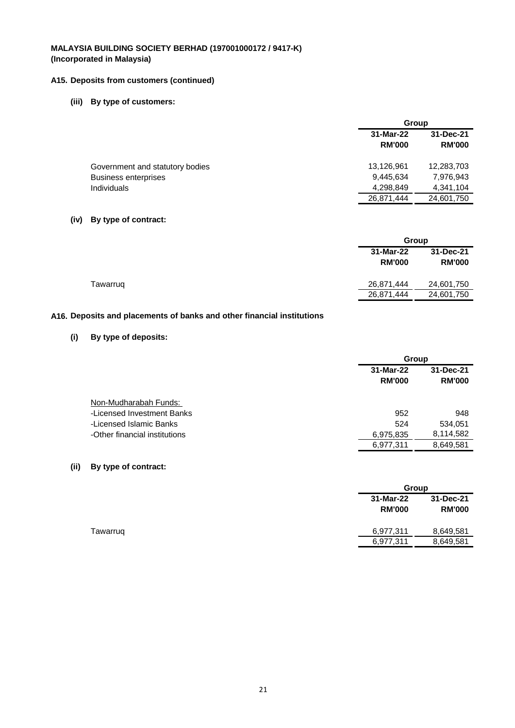## **A15. Deposits from customers (continued)**

## **(iii) By type of customers:**

|                                 | Group                      |                            |  |
|---------------------------------|----------------------------|----------------------------|--|
|                                 | 31-Mar-22<br><b>RM'000</b> | 31-Dec-21<br><b>RM'000</b> |  |
| Government and statutory bodies | 13,126,961                 | 12,283,703                 |  |
| <b>Business enterprises</b>     | 9,445,634                  | 7,976,943                  |  |
| <b>Individuals</b>              | 4,298,849                  | 4.341.104                  |  |
|                                 | 26,871,444                 | 24,601,750                 |  |

### **(iv) By type of contract:**

|          |                            | Group                      |  |  |
|----------|----------------------------|----------------------------|--|--|
|          | 31-Mar-22<br><b>RM'000</b> | 31-Dec-21<br><b>RM'000</b> |  |  |
| Tawarrug | 26,871,444                 | 24,601,750                 |  |  |
|          | 26,871,444                 | 24,601,750                 |  |  |

## **A16. Deposits and placements of banks and other financial institutions**

## **(i) By type of deposits:**

|                                                       |                            | Group                      |  |  |
|-------------------------------------------------------|----------------------------|----------------------------|--|--|
|                                                       | 31-Mar-22<br><b>RM'000</b> | 31-Dec-21<br><b>RM'000</b> |  |  |
| Non-Mudharabah Funds:                                 |                            |                            |  |  |
| -Licensed Investment Banks<br>-Licensed Islamic Banks | 952<br>524                 | 948<br>534,051             |  |  |
| -Other financial institutions                         | 6,975,835                  | 8,114,582                  |  |  |
|                                                       | 6,977,311                  | 8,649,581                  |  |  |

### **(ii) By type of contract:**

|          |                            | <b>Group</b>               |  |  |
|----------|----------------------------|----------------------------|--|--|
|          | 31-Mar-22<br><b>RM'000</b> | 31-Dec-21<br><b>RM'000</b> |  |  |
| Tawarruq | 6,977,311                  | 8,649,581                  |  |  |
|          | 6,977,311                  | 8,649,581                  |  |  |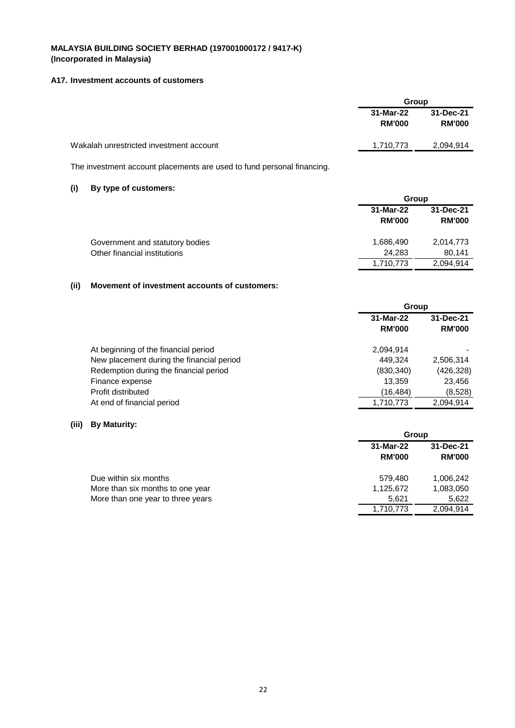### **A17. Investment accounts of customers**

|                                         | Group                      |                            |
|-----------------------------------------|----------------------------|----------------------------|
|                                         | 31-Mar-22<br><b>RM'000</b> | 31-Dec-21<br><b>RM'000</b> |
| Wakalah unrestricted investment account | 1,710,773                  | 2,094,914                  |

The investment account placements are used to fund personal financing.

### **(i) By type of customers:**

|                                 | Group                      |                            |  |
|---------------------------------|----------------------------|----------------------------|--|
|                                 | 31-Mar-22<br><b>RM'000</b> | 31-Dec-21<br><b>RM'000</b> |  |
| Government and statutory bodies | 1,686,490                  | 2,014,773                  |  |
| Other financial institutions    | 24.283                     | 80.141                     |  |
|                                 | 1,710,773                  | 2,094,914                  |  |

## **(ii) Movement of investment accounts of customers:**

|                                           | Group                      |                            |  |
|-------------------------------------------|----------------------------|----------------------------|--|
|                                           | 31-Mar-22<br><b>RM'000</b> | 31-Dec-21<br><b>RM'000</b> |  |
| At beginning of the financial period      | 2,094,914                  |                            |  |
| New placement during the financial period | 449.324                    | 2,506,314                  |  |
| Redemption during the financial period    | (830, 340)                 | (426, 328)                 |  |
| Finance expense                           | 13.359                     | 23,456                     |  |
| Profit distributed                        | (16,484)                   | (8,528)                    |  |
| At end of financial period                | 1,710,773                  | 2.094.914                  |  |

## **(iii) By Maturity:**

|                                   |               | Group         |  |  |
|-----------------------------------|---------------|---------------|--|--|
|                                   | 31-Mar-22     | 31-Dec-21     |  |  |
|                                   | <b>RM'000</b> | <b>RM'000</b> |  |  |
| Due within six months             | 579.480       | 1,006,242     |  |  |
| More than six months to one year  | 1,125,672     | 1,083,050     |  |  |
| More than one year to three years | 5.621         | 5,622         |  |  |
|                                   | 1,710,773     | 2,094,914     |  |  |
|                                   |               |               |  |  |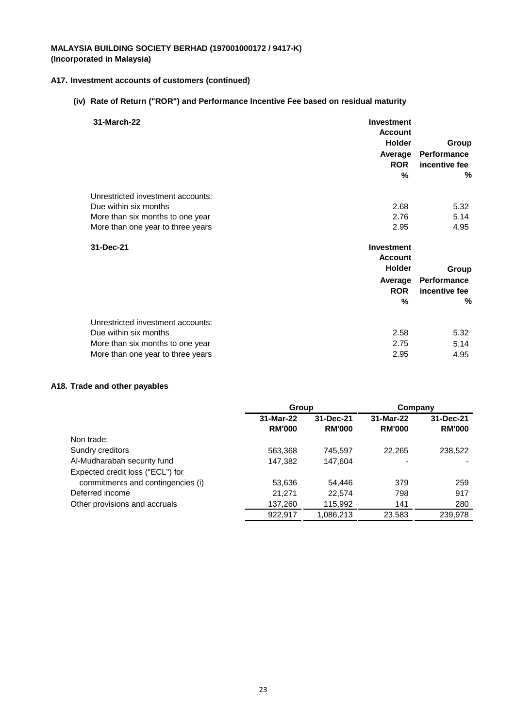### **A17. Investment accounts of customers (continued)**

## **(iv) Rate of Return ("ROR") and Performance Incentive Fee based on residual maturity**

| 31-March-22                       | <b>Investment</b><br><b>Account</b><br>Holder<br>Average<br><b>ROR</b><br>% | Group<br>Performance<br>incentive fee<br>% |
|-----------------------------------|-----------------------------------------------------------------------------|--------------------------------------------|
| Unrestricted investment accounts: |                                                                             |                                            |
| Due within six months             | 2.68                                                                        | 5.32                                       |
| More than six months to one year  | 2.76                                                                        | 5.14                                       |
| More than one year to three years | 2.95                                                                        | 4.95                                       |
| 31-Dec-21                         | Investment<br><b>Account</b><br><b>Holder</b>                               | Group                                      |
|                                   | Average                                                                     | Performance                                |
|                                   | <b>ROR</b>                                                                  | incentive fee                              |
|                                   | %                                                                           | %                                          |
| Unrestricted investment accounts: |                                                                             |                                            |
| Due within six months             | 2.58                                                                        | 5.32                                       |
| More than six months to one year  | 2.75                                                                        | 5.14                                       |
| More than one year to three years | 2.95                                                                        | 4.95                                       |

### **A18. Trade and other payables**

|                                   | Group                      |                            | Company                    |                            |
|-----------------------------------|----------------------------|----------------------------|----------------------------|----------------------------|
|                                   | 31-Mar-22<br><b>RM'000</b> | 31-Dec-21<br><b>RM'000</b> | 31-Mar-22<br><b>RM'000</b> | 31-Dec-21<br><b>RM'000</b> |
| Non trade:                        |                            |                            |                            |                            |
| Sundry creditors                  | 563,368                    | 745.597                    | 22.265                     | 238,522                    |
| Al-Mudharabah security fund       | 147,382                    | 147,604                    |                            |                            |
| Expected credit loss ("ECL") for  |                            |                            |                            |                            |
| commitments and contingencies (i) | 53,636                     | 54,446                     | 379                        | 259                        |
| Deferred income                   | 21.271                     | 22.574                     | 798                        | 917                        |
| Other provisions and accruals     | 137,260                    | 115,992                    | 141                        | 280                        |
|                                   | 922.917                    | 1,086,213                  | 23,583                     | 239.978                    |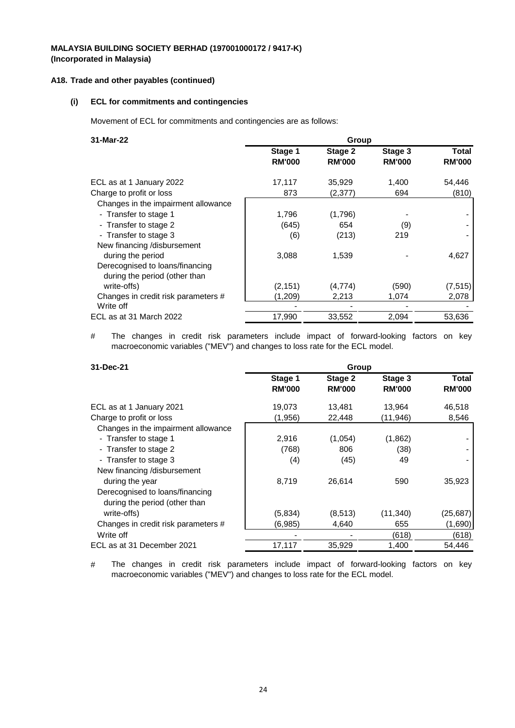### **A18. Trade and other payables (continued)**

#### **(i) ECL for commitments and contingencies**

Movement of ECL for commitments and contingencies are as follows:

| 31-Mar-22                                                        | Group                    |                          |                          |                        |
|------------------------------------------------------------------|--------------------------|--------------------------|--------------------------|------------------------|
|                                                                  | Stage 1<br><b>RM'000</b> | Stage 2<br><b>RM'000</b> | Stage 3<br><b>RM'000</b> | Total<br><b>RM'000</b> |
| ECL as at 1 January 2022                                         | 17,117                   | 35,929                   | 1,400                    | 54,446                 |
| Charge to profit or loss                                         | 873                      | (2,377)                  | 694                      | (810)                  |
| Changes in the impairment allowance                              |                          |                          |                          |                        |
| - Transfer to stage 1                                            | 1,796                    | (1,796)                  |                          |                        |
| - Transfer to stage 2                                            | (645)                    | 654                      | (9)                      |                        |
| - Transfer to stage 3                                            | (6)                      | (213)                    | 219                      |                        |
| New financing /disbursement                                      |                          |                          |                          |                        |
| during the period                                                | 3,088                    | 1,539                    |                          | 4,627                  |
| Derecognised to loans/financing<br>during the period (other than |                          |                          |                          |                        |
| write-offs)                                                      | (2, 151)                 | (4,774)                  | (590)                    | (7, 515)               |
| Changes in credit risk parameters #                              | (1,209)                  | 2,213                    | 1,074                    | 2,078                  |
| Write off                                                        |                          |                          |                          |                        |
| ECL as at 31 March 2022                                          | 17,990                   | 33,552                   | 2,094                    | 53,636                 |

# The changes in credit risk parameters include impact of forward-looking factors on key macroeconomic variables ("MEV") and changes to loss rate for the ECL model.

| 31-Dec-21                           | Group                    |                          |                          |                        |
|-------------------------------------|--------------------------|--------------------------|--------------------------|------------------------|
|                                     | Stage 1<br><b>RM'000</b> | Stage 2<br><b>RM'000</b> | Stage 3<br><b>RM'000</b> | Total<br><b>RM'000</b> |
| ECL as at 1 January 2021            | 19,073                   | 13,481                   | 13,964                   | 46,518                 |
| Charge to profit or loss            | (1,956)                  | 22,448                   | (11,946)                 | 8,546                  |
| Changes in the impairment allowance |                          |                          |                          |                        |
| - Transfer to stage 1               | 2,916                    | (1,054)                  | (1,862)                  |                        |
| - Transfer to stage 2               | (768)                    | 806                      | (38)                     |                        |
| - Transfer to stage 3               | (4)                      | (45)                     | 49                       |                        |
| New financing /disbursement         |                          |                          |                          |                        |
| during the year                     | 8,719                    | 26,614                   | 590                      | 35,923                 |
| Derecognised to loans/financing     |                          |                          |                          |                        |
| during the period (other than       |                          |                          |                          |                        |
| write-offs)                         | (5,834)                  | (8,513)                  | (11,340)                 | (25,687)               |
| Changes in credit risk parameters # | (6,985)                  | 4,640                    | 655                      | (1,690)                |
| Write off                           |                          |                          | (618)                    | (618)                  |
| ECL as at 31 December 2021          | 17,117                   | 35,929                   | 1,400                    | 54,446                 |

# The changes in credit risk parameters include impact of forward-looking factors on key macroeconomic variables ("MEV") and changes to loss rate for the ECL model.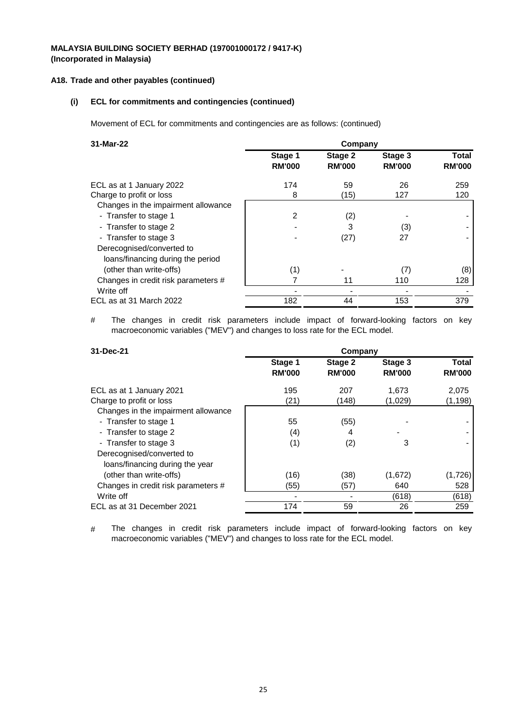### **A18. Trade and other payables (continued)**

## **(i) ECL for commitments and contingencies (continued)**

Movement of ECL for commitments and contingencies are as follows: (continued)

| 31-Mar-22                                                      | Company                  |                          |                          |                        |
|----------------------------------------------------------------|--------------------------|--------------------------|--------------------------|------------------------|
|                                                                | Stage 1<br><b>RM'000</b> | Stage 2<br><b>RM'000</b> | Stage 3<br><b>RM'000</b> | Total<br><b>RM'000</b> |
| ECL as at 1 January 2022                                       | 174                      | 59                       | 26                       | 259                    |
| Charge to profit or loss                                       | 8                        | (15)                     | 127                      | 120                    |
| Changes in the impairment allowance                            |                          |                          |                          |                        |
| - Transfer to stage 1                                          | 2                        | (2)                      |                          |                        |
| - Transfer to stage 2                                          |                          | 3                        | (3)                      |                        |
| - Transfer to stage 3                                          |                          | (27)                     | 27                       |                        |
| Derecognised/converted to<br>loans/financing during the period |                          |                          |                          |                        |
| (other than write-offs)                                        | (1)                      |                          | (7)                      | (8)                    |
| Changes in credit risk parameters #                            |                          | 11                       | 110                      | 128                    |
| Write off                                                      |                          |                          |                          |                        |
| ECL as at 31 March 2022                                        | 182                      | 44                       | 153                      | 379                    |

# The changes in credit risk parameters include impact of forward-looking factors on key macroeconomic variables ("MEV") and changes to loss rate for the ECL model.

| 31-Dec-21                           | Company                  |                          |                          |                        |
|-------------------------------------|--------------------------|--------------------------|--------------------------|------------------------|
|                                     | Stage 1<br><b>RM'000</b> | Stage 2<br><b>RM'000</b> | Stage 3<br><b>RM'000</b> | Total<br><b>RM'000</b> |
| ECL as at 1 January 2021            | 195                      | 207                      | 1.673                    | 2,075                  |
| Charge to profit or loss            | (21)                     | (148)                    | (1,029)                  | (1,198)                |
| Changes in the impairment allowance |                          |                          |                          |                        |
| - Transfer to stage 1               | 55                       | (55)                     |                          |                        |
| - Transfer to stage 2               | (4)                      | 4                        |                          |                        |
| - Transfer to stage 3               | (1)                      | (2)                      | 3                        |                        |
| Derecognised/converted to           |                          |                          |                          |                        |
| loans/financing during the year     |                          |                          |                          |                        |
| (other than write-offs)             | (16)                     | (38)                     | (1,672)                  | (1,726)                |
| Changes in credit risk parameters # | (55)                     | (57)                     | 640                      | 528                    |
| Write off                           |                          |                          | (618)                    | (618)                  |
| ECL as at 31 December 2021          | 174                      | 59                       | 26                       | 259                    |
|                                     |                          |                          |                          |                        |

# The changes in credit risk parameters include impact of forward-looking factors on key macroeconomic variables ("MEV") and changes to loss rate for the ECL model.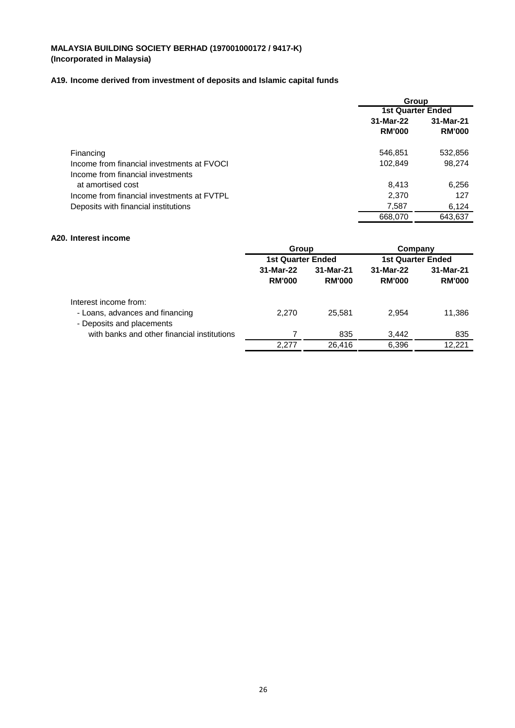## **A19. Income derived from investment of deposits and Islamic capital funds**

|                                            | Group                    |               |  |
|--------------------------------------------|--------------------------|---------------|--|
|                                            | <b>1st Quarter Ended</b> |               |  |
|                                            | 31-Mar-22                | 31-Mar-21     |  |
|                                            | <b>RM'000</b>            | <b>RM'000</b> |  |
| Financing                                  | 546,851                  | 532,856       |  |
| Income from financial investments at FVOCI | 102,849                  | 98,274        |  |
| Income from financial investments          |                          |               |  |
| at amortised cost                          | 8,413                    | 6,256         |  |
| Income from financial investments at FVTPL | 2,370                    | 127           |  |
| Deposits with financial institutions       | 7,587                    | 6,124         |  |
|                                            | 668,070                  | 643.637       |  |

### **A20. Interest income**

|                                                                                       | <b>Group</b><br>1st Quarter Ended |                            | Company<br><b>1st Quarter Ended</b> |                            |
|---------------------------------------------------------------------------------------|-----------------------------------|----------------------------|-------------------------------------|----------------------------|
|                                                                                       |                                   |                            |                                     |                            |
|                                                                                       | 31-Mar-22<br><b>RM'000</b>        | 31-Mar-21<br><b>RM'000</b> | 31-Mar-22<br><b>RM'000</b>          | 31-Mar-21<br><b>RM'000</b> |
| Interest income from:<br>- Loans, advances and financing<br>- Deposits and placements | 2,270                             | 25,581                     | 2,954                               | 11,386                     |
| with banks and other financial institutions                                           |                                   | 835                        | 3,442                               | 835                        |
|                                                                                       | 2,277                             | 26.416                     | 6,396                               | 12.221                     |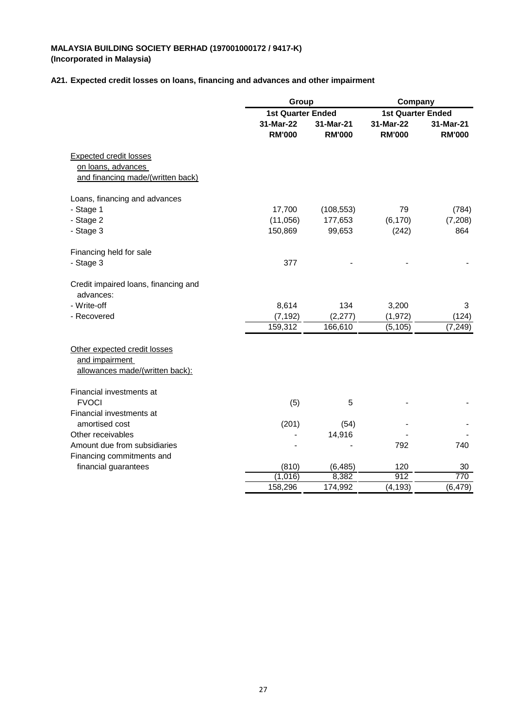#### **A21. Expected credit losses on loans, financing and advances and other impairment**

|                                                                                          | Group                      |                            | Company                    |                            |
|------------------------------------------------------------------------------------------|----------------------------|----------------------------|----------------------------|----------------------------|
|                                                                                          | <b>1st Quarter Ended</b>   |                            | <b>1st Quarter Ended</b>   |                            |
|                                                                                          | 31-Mar-22<br><b>RM'000</b> | 31-Mar-21<br><b>RM'000</b> | 31-Mar-22<br><b>RM'000</b> | 31-Mar-21<br><b>RM'000</b> |
| <b>Expected credit losses</b><br>on loans, advances<br>and financing made/(written back) |                            |                            |                            |                            |
| Loans, financing and advances                                                            |                            |                            |                            |                            |
| - Stage 1                                                                                | 17,700                     | (108, 553)                 | 79                         | (784)                      |
| - Stage 2                                                                                | (11,056)                   | 177,653                    | (6, 170)                   | (7,208)                    |
| - Stage 3                                                                                | 150,869                    | 99,653                     | (242)                      | 864                        |
| Financing held for sale                                                                  |                            |                            |                            |                            |
| - Stage 3                                                                                | 377                        |                            |                            |                            |
| Credit impaired loans, financing and<br>advances:                                        |                            |                            |                            |                            |
| - Write-off                                                                              | 8,614                      | 134                        | 3,200                      | 3                          |
| - Recovered                                                                              | (7, 192)                   | (2, 277)                   | (1, 972)                   | (124)                      |
|                                                                                          | 159,312                    | 166,610                    | (5, 105)                   | (7, 249)                   |
| Other expected credit losses<br>and impairment<br>allowances made/(written back):        |                            |                            |                            |                            |
| Financial investments at                                                                 |                            |                            |                            |                            |
| <b>FVOCI</b>                                                                             | (5)                        | 5                          |                            |                            |
| Financial investments at                                                                 |                            |                            |                            |                            |
| amortised cost                                                                           | (201)                      | (54)                       |                            |                            |
| Other receivables                                                                        |                            | 14,916                     |                            |                            |
| Amount due from subsidiaries                                                             |                            |                            | 792                        | 740                        |
| Financing commitments and                                                                |                            |                            |                            |                            |
| financial guarantees                                                                     | (810)                      | (6, 485)                   | 120                        | 30                         |
|                                                                                          | (1,016)                    | 8,382                      | 912                        | 770                        |
|                                                                                          | 158,296                    | 174,992                    | (4, 193)                   | (6, 479)                   |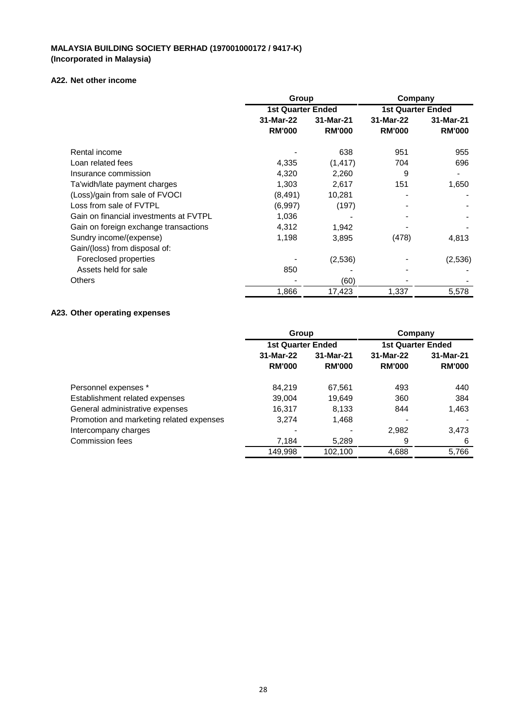## **A22. Net other income**

|                                        | Group<br><b>1st Quarter Ended</b> |               | Company<br><b>1st Quarter Ended</b> |               |
|----------------------------------------|-----------------------------------|---------------|-------------------------------------|---------------|
|                                        |                                   |               |                                     |               |
|                                        | 31-Mar-22                         | 31-Mar-21     | 31-Mar-22                           | 31-Mar-21     |
|                                        | <b>RM'000</b>                     | <b>RM'000</b> | <b>RM'000</b>                       | <b>RM'000</b> |
| Rental income                          |                                   | 638           | 951                                 | 955           |
| Loan related fees                      | 4,335                             | (1, 417)      | 704                                 | 696           |
| Insurance commission                   | 4,320                             | 2,260         | 9                                   |               |
| Ta'widh/late payment charges           | 1,303                             | 2,617         | 151                                 | 1,650         |
| (Loss)/gain from sale of FVOCI         | (8, 491)                          | 10,281        |                                     |               |
| Loss from sale of FVTPL                | (6,997)                           | (197)         |                                     |               |
| Gain on financial investments at FVTPL | 1,036                             |               |                                     |               |
| Gain on foreign exchange transactions  | 4,312                             | 1,942         |                                     |               |
| Sundry income/(expense)                | 1,198                             | 3,895         | (478)                               | 4,813         |
| Gain/(loss) from disposal of:          |                                   |               |                                     |               |
| Foreclosed properties                  |                                   | (2,536)       |                                     | (2,536)       |
| Assets held for sale                   | 850                               |               |                                     |               |
| Others                                 |                                   | (60)          |                                     |               |
|                                        | 1,866                             | 17,423        | 1,337                               | 5,578         |

## **A23. Other operating expenses**

|                                          | Group                    |                        | Company                  |               |
|------------------------------------------|--------------------------|------------------------|--------------------------|---------------|
|                                          | <b>1st Quarter Ended</b> |                        | <b>1st Quarter Ended</b> |               |
|                                          | 31-Mar-22                | 31-Mar-21<br>31-Mar-22 | 31-Mar-21                |               |
|                                          | <b>RM'000</b>            | <b>RM'000</b>          | <b>RM'000</b>            | <b>RM'000</b> |
| Personnel expenses *                     | 84,219                   | 67,561                 | 493                      | 440           |
| Establishment related expenses           | 39,004                   | 19,649                 | 360                      | 384           |
| General administrative expenses          | 16,317                   | 8,133                  | 844                      | 1,463         |
| Promotion and marketing related expenses | 3,274                    | 1,468                  |                          |               |
| Intercompany charges                     |                          |                        | 2,982                    | 3,473         |
| Commission fees                          | 7,184                    | 5,289                  | 9                        | 6             |
|                                          | 149,998                  | 102,100                | 4,688                    | 5,766         |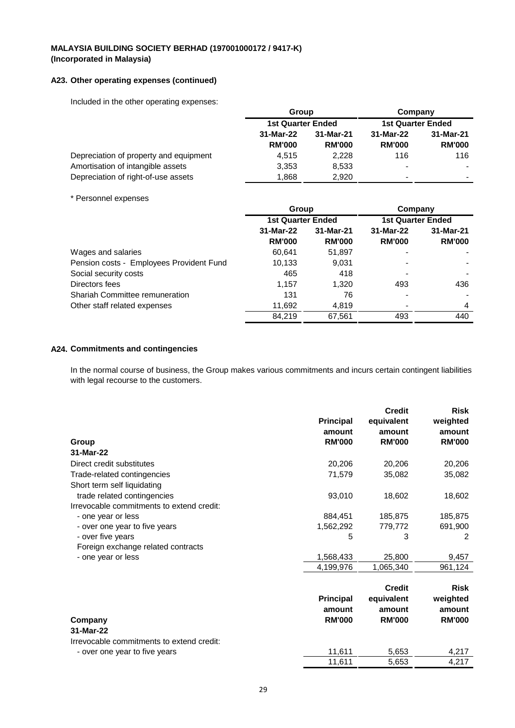## **A23. Other operating expenses (continued)**

Included in the other operating expenses:

|                                        | Group<br><b>1st Quarter Ended</b> |               | Company<br><b>1st Quarter Ended</b> |                          |
|----------------------------------------|-----------------------------------|---------------|-------------------------------------|--------------------------|
|                                        |                                   |               |                                     |                          |
|                                        | 31-Mar-22                         | 31-Mar-21     | 31-Mar-22                           | 31-Mar-21                |
|                                        | <b>RM'000</b>                     | <b>RM'000</b> | <b>RM'000</b>                       | <b>RM'000</b>            |
| Depreciation of property and equipment | 4,515                             | 2.228         | 116                                 | 116                      |
| Amortisation of intangible assets      | 3,353                             | 8.533         |                                     |                          |
| Depreciation of right-of-use assets    | 1.868                             | 2.920         | $\overline{\phantom{a}}$            | $\overline{\phantom{0}}$ |

#### \* Personnel expenses

|                                          | Group                    |               | Company                  |               |
|------------------------------------------|--------------------------|---------------|--------------------------|---------------|
|                                          | <b>1st Quarter Ended</b> |               | <b>1st Quarter Ended</b> |               |
|                                          | 31-Mar-22                | 31-Mar-21     | 31-Mar-22                | 31-Mar-21     |
|                                          | <b>RM'000</b>            | <b>RM'000</b> | <b>RM'000</b>            | <b>RM'000</b> |
| Wages and salaries                       | 60.641                   | 51,897        | ٠                        |               |
| Pension costs - Employees Provident Fund | 10,133                   | 9,031         |                          |               |
| Social security costs                    | 465                      | 418           |                          |               |
| Directors fees                           | 1,157                    | 1.320         | 493                      | 436           |
| <b>Shariah Committee remuneration</b>    | 131                      | 76            |                          |               |
| Other staff related expenses             | 11,692                   | 4.819         |                          | 4             |
|                                          | 84.219                   | 67.561        | 493                      | 440           |

### **A24. Commitments and contingencies**

In the normal course of business, the Group makes various commitments and incurs certain contingent liabilities with legal recourse to the customers.

|                                           |                  | <b>Credit</b> | <b>Risk</b>   |
|-------------------------------------------|------------------|---------------|---------------|
|                                           | <b>Principal</b> | equivalent    | weighted      |
|                                           | amount           | amount        | amount        |
| Group                                     | <b>RM'000</b>    | <b>RM'000</b> | <b>RM'000</b> |
| 31-Mar-22                                 |                  |               |               |
| Direct credit substitutes                 | 20,206           | 20,206        | 20,206        |
| Trade-related contingencies               | 71,579           | 35,082        | 35,082        |
| Short term self liquidating               |                  |               |               |
| trade related contingencies               | 93,010           | 18,602        | 18,602        |
| Irrevocable commitments to extend credit: |                  |               |               |
| - one year or less                        | 884,451          | 185,875       | 185,875       |
| - over one year to five years             | 1,562,292        | 779,772       | 691,900       |
| - over five years                         | 5                | 3             | 2             |
| Foreign exchange related contracts        |                  |               |               |
| - one year or less                        | 1,568,433        | 25,800        | 9,457         |
|                                           | 4,199,976        | 1,065,340     | 961,124       |
|                                           |                  |               |               |
|                                           |                  | <b>Credit</b> | <b>Risk</b>   |
|                                           | <b>Principal</b> | equivalent    | weighted      |
|                                           | amount           | amount        | amount        |
| Company                                   | <b>RM'000</b>    | <b>RM'000</b> | <b>RM'000</b> |
| 31-Mar-22                                 |                  |               |               |
| Irrevocable commitments to extend credit: |                  |               |               |
| - over one year to five years             | 11,611           | 5,653         | 4,217         |
|                                           | 11,611           | 5.653         | 4,217         |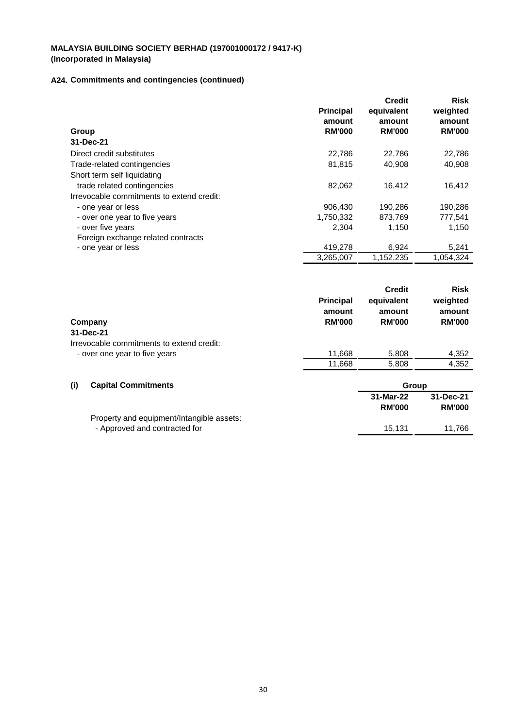# **A24. Commitments and contingencies (continued)**

|                                           | <b>Principal</b><br>amount | <b>Credit</b><br>equivalent<br>amount | <b>Risk</b><br>weighted<br>amount |
|-------------------------------------------|----------------------------|---------------------------------------|-----------------------------------|
| Group                                     | <b>RM'000</b>              | <b>RM'000</b>                         | <b>RM'000</b>                     |
| 31-Dec-21                                 |                            |                                       |                                   |
| Direct credit substitutes                 | 22,786                     | 22,786                                | 22,786                            |
| Trade-related contingencies               | 81,815                     | 40,908                                | 40,908                            |
| Short term self liquidating               |                            |                                       |                                   |
| trade related contingencies               | 82,062                     | 16,412                                | 16,412                            |
| Irrevocable commitments to extend credit: |                            |                                       |                                   |
| - one year or less                        | 906,430                    | 190,286                               | 190,286                           |
| - over one year to five years             | 1,750,332                  | 873,769                               | 777,541                           |
| - over five years                         | 2,304                      | 1,150                                 | 1,150                             |
| Foreign exchange related contracts        |                            |                                       |                                   |
| - one year or less                        | 419,278                    | 6,924                                 | 5,241                             |
|                                           | 3,265,007                  | 1,152,235                             | 1,054,324                         |
|                                           |                            | <b>Credit</b>                         | <b>Risk</b>                       |

|                                           | <b>Principal</b><br>amount | equivalent<br>amount | weighted<br>amount |
|-------------------------------------------|----------------------------|----------------------|--------------------|
| Company                                   | <b>RM'000</b>              | <b>RM'000</b>        | <b>RM'000</b>      |
| 31-Dec-21                                 |                            |                      |                    |
| Irrevocable commitments to extend credit: |                            |                      |                    |
| - over one year to five years             | 11,668                     | 5,808                | 4,352              |
|                                           | 11,668                     | 5.808                | 4,352              |
| (i)<br><b>Capital Commitments</b>         |                            | Group                |                    |

|                                           | 31-Mar-22     | 31-Dec-21     |
|-------------------------------------------|---------------|---------------|
|                                           | <b>RM'000</b> | <b>RM'000</b> |
| Property and equipment/Intangible assets: |               |               |
| - Approved and contracted for             | 15.131        | 11.766        |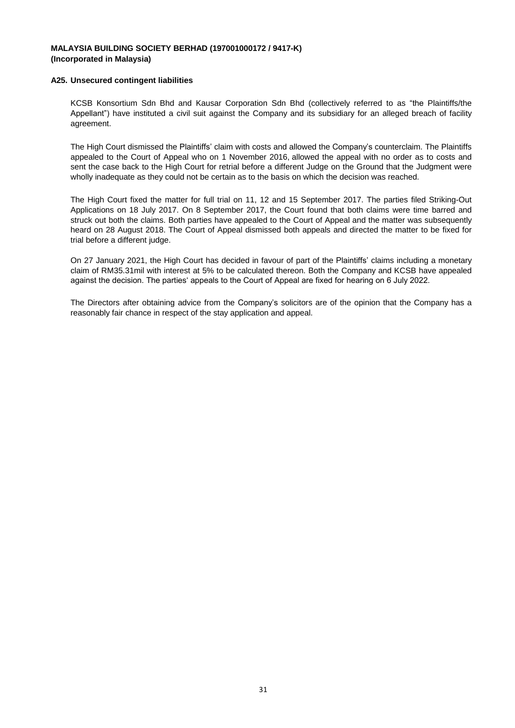#### **A25. Unsecured contingent liabilities**

KCSB Konsortium Sdn Bhd and Kausar Corporation Sdn Bhd (collectively referred to as "the Plaintiffs/the Appellant") have instituted a civil suit against the Company and its subsidiary for an alleged breach of facility agreement.

The High Court dismissed the Plaintiffs' claim with costs and allowed the Company's counterclaim. The Plaintiffs appealed to the Court of Appeal who on 1 November 2016, allowed the appeal with no order as to costs and sent the case back to the High Court for retrial before a different Judge on the Ground that the Judgment were wholly inadequate as they could not be certain as to the basis on which the decision was reached.

The High Court fixed the matter for full trial on 11, 12 and 15 September 2017. The parties filed Striking-Out Applications on 18 July 2017. On 8 September 2017, the Court found that both claims were time barred and struck out both the claims. Both parties have appealed to the Court of Appeal and the matter was subsequently heard on 28 August 2018. The Court of Appeal dismissed both appeals and directed the matter to be fixed for trial before a different judge.

On 27 January 2021, the High Court has decided in favour of part of the Plaintiffs' claims including a monetary claim of RM35.31mil with interest at 5% to be calculated thereon. Both the Company and KCSB have appealed against the decision. The parties' appeals to the Court of Appeal are fixed for hearing on 6 July 2022.

The Directors after obtaining advice from the Company's solicitors are of the opinion that the Company has a reasonably fair chance in respect of the stay application and appeal.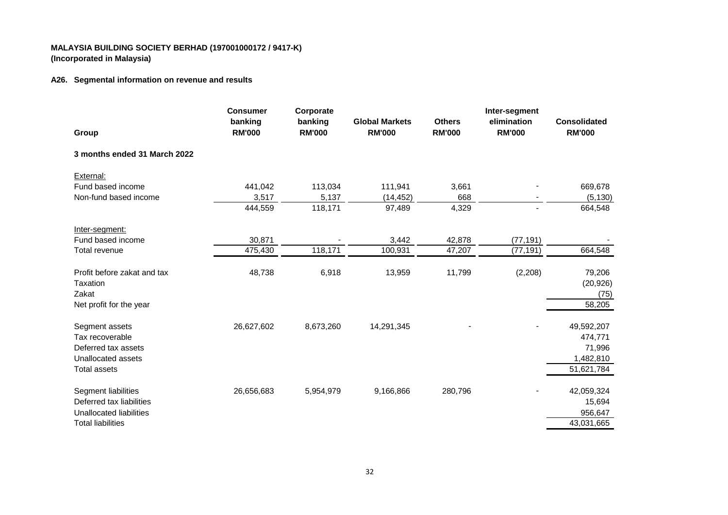## **A26. Segmental information on revenue and results**

| Group                                            | <b>Consumer</b><br>banking<br><b>RM'000</b> | Corporate<br>banking<br><b>RM'000</b> | <b>Global Markets</b><br><b>RM'000</b> | <b>Others</b><br><b>RM'000</b> | Inter-segment<br>elimination<br><b>RM'000</b> | <b>Consolidated</b><br><b>RM'000</b> |
|--------------------------------------------------|---------------------------------------------|---------------------------------------|----------------------------------------|--------------------------------|-----------------------------------------------|--------------------------------------|
| 3 months ended 31 March 2022                     |                                             |                                       |                                        |                                |                                               |                                      |
| External:                                        |                                             |                                       |                                        |                                |                                               |                                      |
| Fund based income                                | 441,042                                     | 113,034                               | 111,941                                | 3,661                          |                                               | 669,678                              |
| Non-fund based income                            | 3,517                                       | 5,137                                 | (14, 452)                              | 668                            |                                               | (5, 130)                             |
|                                                  | 444,559                                     | 118,171                               | 97,489                                 | 4,329                          | $\blacksquare$                                | 664,548                              |
| Inter-segment:                                   |                                             |                                       |                                        |                                |                                               |                                      |
| Fund based income                                | 30,871                                      |                                       | 3,442                                  | 42,878                         | (77, 191)                                     |                                      |
| Total revenue                                    | 475,430                                     | 118,171                               | 100,931                                | 47,207                         | (77, 191)                                     | 664,548                              |
| Profit before zakat and tax<br>Taxation<br>Zakat | 48,738                                      | 6,918                                 | 13,959                                 | 11,799                         | (2,208)                                       | 79,206<br>(20, 926)<br>(75)          |
| Net profit for the year                          |                                             |                                       |                                        |                                |                                               | 58,205                               |
| Segment assets                                   | 26,627,602                                  | 8,673,260                             | 14,291,345                             |                                |                                               | 49,592,207                           |
| Tax recoverable                                  |                                             |                                       |                                        |                                |                                               | 474,771                              |
| Deferred tax assets                              |                                             |                                       |                                        |                                |                                               | 71,996                               |
| Unallocated assets                               |                                             |                                       |                                        |                                |                                               | 1,482,810                            |
| <b>Total assets</b>                              |                                             |                                       |                                        |                                |                                               | 51,621,784                           |
| Segment liabilities                              | 26,656,683                                  | 5,954,979                             | 9,166,866                              | 280,796                        |                                               | 42,059,324                           |
| Deferred tax liabilities                         |                                             |                                       |                                        |                                |                                               | 15,694                               |
| Unallocated liabilities                          |                                             |                                       |                                        |                                |                                               | 956,647                              |
| <b>Total liabilities</b>                         |                                             |                                       |                                        |                                |                                               | 43,031,665                           |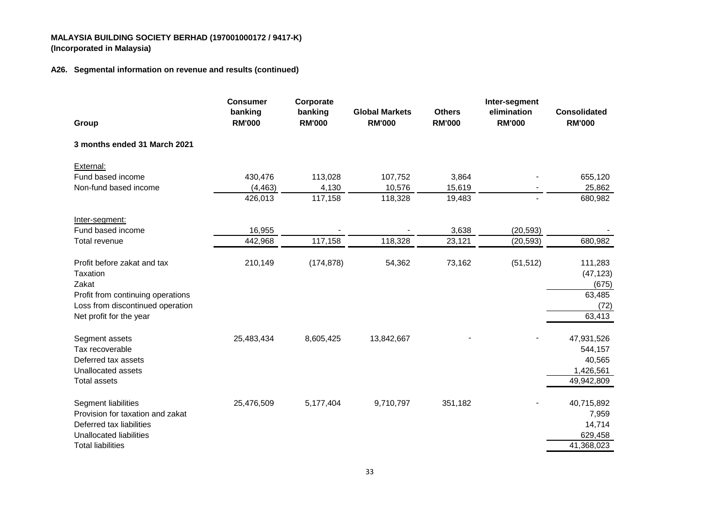## **A26. Segmental information on revenue and results (continued)**

|                                                | <b>Consumer</b>          | Corporate                |                                        |                                | Inter-segment                |                                      |
|------------------------------------------------|--------------------------|--------------------------|----------------------------------------|--------------------------------|------------------------------|--------------------------------------|
| Group                                          | banking<br><b>RM'000</b> | banking<br><b>RM'000</b> | <b>Global Markets</b><br><b>RM'000</b> | <b>Others</b><br><b>RM'000</b> | elimination<br><b>RM'000</b> | <b>Consolidated</b><br><b>RM'000</b> |
| 3 months ended 31 March 2021                   |                          |                          |                                        |                                |                              |                                      |
| External:                                      |                          |                          |                                        |                                |                              |                                      |
| Fund based income                              | 430,476                  | 113,028                  | 107,752                                | 3,864                          |                              | 655,120                              |
| Non-fund based income                          | (4, 463)                 | 4,130                    | 10,576                                 | 15,619                         |                              | 25,862                               |
|                                                | 426,013                  | 117,158                  | 118,328                                | 19,483                         | $\blacksquare$               | 680,982                              |
| Inter-segment:                                 |                          |                          |                                        |                                |                              |                                      |
| Fund based income                              | 16,955                   |                          |                                        | 3,638                          | (20, 593)                    |                                      |
| Total revenue                                  | 442,968                  | 117,158                  | 118,328                                | 23,121                         | (20, 593)                    | 680,982                              |
| Profit before zakat and tax<br><b>Taxation</b> | 210,149                  | (174, 878)               | 54,362                                 | 73,162                         | (51, 512)                    | 111,283<br>(47, 123)                 |
| Zakat                                          |                          |                          |                                        |                                |                              | (675)                                |
| Profit from continuing operations              |                          |                          |                                        |                                |                              | 63,485                               |
| Loss from discontinued operation               |                          |                          |                                        |                                |                              | (72)                                 |
| Net profit for the year                        |                          |                          |                                        |                                |                              | 63,413                               |
| Segment assets                                 | 25,483,434               | 8,605,425                | 13,842,667                             |                                |                              | 47,931,526                           |
| Tax recoverable                                |                          |                          |                                        |                                |                              | 544,157                              |
| Deferred tax assets                            |                          |                          |                                        |                                |                              | 40,565                               |
| Unallocated assets                             |                          |                          |                                        |                                |                              | 1,426,561                            |
| <b>Total assets</b>                            |                          |                          |                                        |                                |                              | 49,942,809                           |
| Segment liabilities                            | 25,476,509               | 5,177,404                | 9,710,797                              | 351,182                        |                              | 40,715,892                           |
| Provision for taxation and zakat               |                          |                          |                                        |                                |                              | 7,959                                |
| Deferred tax liabilities                       |                          |                          |                                        |                                |                              | 14,714                               |
| <b>Unallocated liabilities</b>                 |                          |                          |                                        |                                |                              | 629,458                              |
| <b>Total liabilities</b>                       |                          |                          |                                        |                                |                              | 41,368,023                           |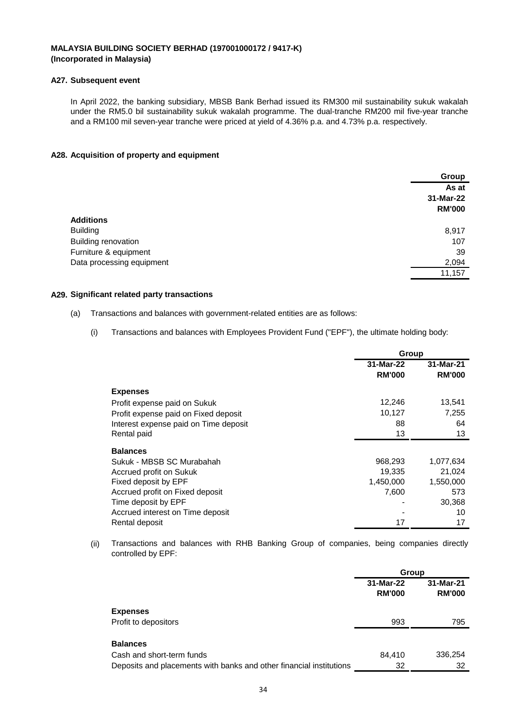#### **A27. Subsequent event**

In April 2022, the banking subsidiary, MBSB Bank Berhad issued its RM300 mil sustainability sukuk wakalah under the RM5.0 bil sustainability sukuk wakalah programme. The dual-tranche RM200 mil five-year tranche and a RM100 mil seven-year tranche were priced at yield of 4.36% p.a. and 4.73% p.a. respectively.

#### **A28. Acquisition of property and equipment**

|                           | Group         |
|---------------------------|---------------|
|                           | As at         |
|                           | 31-Mar-22     |
|                           | <b>RM'000</b> |
| <b>Additions</b>          |               |
| <b>Building</b>           | 8,917         |
| Building renovation       | 107           |
| Furniture & equipment     | 39            |
| Data processing equipment | 2,094         |
|                           | 11,157        |
|                           |               |

#### **A29. Significant related party transactions**

- (a) Transactions and balances with government-related entities are as follows:
	- (i) Transactions and balances with Employees Provident Fund ("EPF"), the ultimate holding body:

|                                       | Group         |               |  |
|---------------------------------------|---------------|---------------|--|
|                                       | 31-Mar-22     | 31-Mar-21     |  |
|                                       | <b>RM'000</b> | <b>RM'000</b> |  |
| <b>Expenses</b>                       |               |               |  |
| Profit expense paid on Sukuk          | 12,246        | 13,541        |  |
| Profit expense paid on Fixed deposit  | 10,127        | 7,255         |  |
| Interest expense paid on Time deposit | 88            | 64            |  |
| Rental paid                           | 13            | 13            |  |
| <b>Balances</b>                       |               |               |  |
| Sukuk - MBSB SC Murabahah             | 968,293       | 1,077,634     |  |
| Accrued profit on Sukuk               | 19,335        | 21,024        |  |
| Fixed deposit by EPF                  | 1,450,000     | 1,550,000     |  |
| Accrued profit on Fixed deposit       | 7,600         | 573           |  |
| Time deposit by EPF                   |               | 30,368        |  |
| Accrued interest on Time deposit      |               | 10            |  |
| Rental deposit                        | 17            | 17            |  |

(ii) Transactions and balances with RHB Banking Group of companies, being companies directly controlled by EPF:

|                                                                     | Group                      |                            |  |
|---------------------------------------------------------------------|----------------------------|----------------------------|--|
|                                                                     | 31-Mar-22<br><b>RM'000</b> | 31-Mar-21<br><b>RM'000</b> |  |
| <b>Expenses</b>                                                     |                            |                            |  |
| Profit to depositors                                                | 993                        | 795                        |  |
| <b>Balances</b>                                                     |                            |                            |  |
| Cash and short-term funds                                           | 84,410                     | 336,254                    |  |
| Deposits and placements with banks and other financial institutions | 32                         | 32                         |  |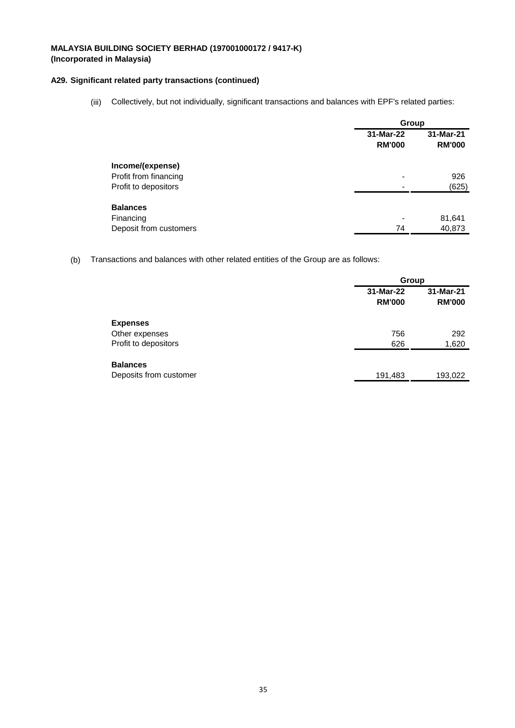## **A29. Significant related party transactions (continued)**

(iii) Collectively, but not individually, significant transactions and balances with EPF's related parties:

|                        |                            | Group                      |  |  |
|------------------------|----------------------------|----------------------------|--|--|
|                        | 31-Mar-22<br><b>RM'000</b> | 31-Mar-21<br><b>RM'000</b> |  |  |
| Income/(expense)       |                            |                            |  |  |
| Profit from financing  |                            | 926                        |  |  |
| Profit to depositors   |                            | (625)                      |  |  |
| <b>Balances</b>        |                            |                            |  |  |
| Financing              |                            | 81,641                     |  |  |
| Deposit from customers | 74                         | 40,873                     |  |  |

(b) Transactions and balances with other related entities of the Group are as follows:

|                        |                            | Group                      |  |  |
|------------------------|----------------------------|----------------------------|--|--|
|                        | 31-Mar-22<br><b>RM'000</b> | 31-Mar-21<br><b>RM'000</b> |  |  |
| <b>Expenses</b>        |                            |                            |  |  |
| Other expenses         | 756                        | 292                        |  |  |
| Profit to depositors   | 626                        | 1,620                      |  |  |
| <b>Balances</b>        |                            |                            |  |  |
| Deposits from customer | 191,483                    | 193,022                    |  |  |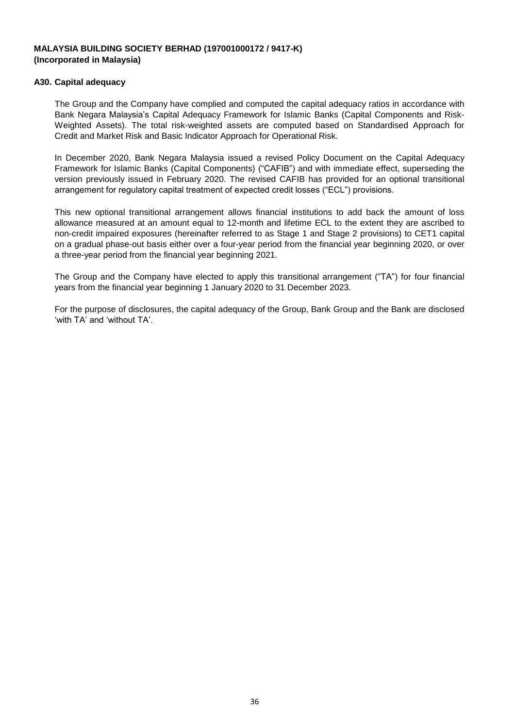## **A30. Capital adequacy**

The Group and the Company have complied and computed the capital adequacy ratios in accordance with Bank Negara Malaysia's Capital Adequacy Framework for Islamic Banks (Capital Components and Risk-Weighted Assets). The total risk-weighted assets are computed based on Standardised Approach for Credit and Market Risk and Basic Indicator Approach for Operational Risk.

In December 2020, Bank Negara Malaysia issued a revised Policy Document on the Capital Adequacy Framework for Islamic Banks (Capital Components) ("CAFIB") and with immediate effect, superseding the version previously issued in February 2020. The revised CAFIB has provided for an optional transitional arrangement for regulatory capital treatment of expected credit losses ("ECL") provisions.

This new optional transitional arrangement allows financial institutions to add back the amount of loss allowance measured at an amount equal to 12-month and lifetime ECL to the extent they are ascribed to non-credit impaired exposures (hereinafter referred to as Stage 1 and Stage 2 provisions) to CET1 capital on a gradual phase-out basis either over a four-year period from the financial year beginning 2020, or over a three-year period from the financial year beginning 2021.

The Group and the Company have elected to apply this transitional arrangement ("TA") for four financial years from the financial year beginning 1 January 2020 to 31 December 2023.

For the purpose of disclosures, the capital adequacy of the Group, Bank Group and the Bank are disclosed 'with TA' and 'without TA'.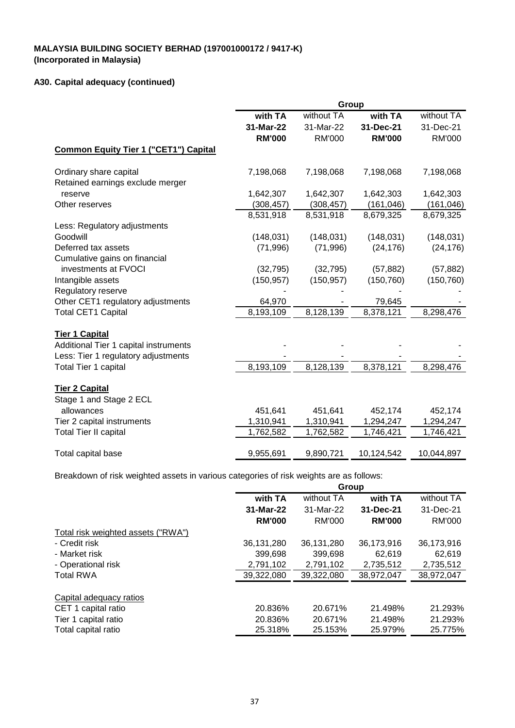# **A30. Capital adequacy (continued)**

|                                              | Group         |               |               |               |
|----------------------------------------------|---------------|---------------|---------------|---------------|
|                                              | with TA       | without TA    | with TA       | without TA    |
|                                              | 31-Mar-22     | 31-Mar-22     | 31-Dec-21     | 31-Dec-21     |
|                                              | <b>RM'000</b> | <b>RM'000</b> | <b>RM'000</b> | <b>RM'000</b> |
| <b>Common Equity Tier 1 ("CET1") Capital</b> |               |               |               |               |
| Ordinary share capital                       | 7,198,068     | 7,198,068     | 7,198,068     | 7,198,068     |
| Retained earnings exclude merger             |               |               |               |               |
| reserve                                      | 1,642,307     | 1,642,307     | 1,642,303     | 1,642,303     |
| Other reserves                               | (308, 457)    | (308, 457)    | (161, 046)    | (161, 046)    |
|                                              | 8,531,918     | 8,531,918     | 8,679,325     | 8,679,325     |
| Less: Regulatory adjustments                 |               |               |               |               |
| Goodwill                                     | (148, 031)    | (148, 031)    | (148, 031)    | (148, 031)    |
| Deferred tax assets                          | (71, 996)     | (71, 996)     | (24, 176)     | (24, 176)     |
| Cumulative gains on financial                |               |               |               |               |
| investments at FVOCI                         | (32, 795)     | (32, 795)     | (57, 882)     | (57, 882)     |
| Intangible assets                            | (150, 957)    | (150, 957)    | (150, 760)    | (150, 760)    |
| Regulatory reserve                           |               |               |               |               |
| Other CET1 regulatory adjustments            | 64,970        |               | 79,645        |               |
| <b>Total CET1 Capital</b>                    | 8,193,109     | 8,128,139     | 8,378,121     | 8,298,476     |
| <b>Tier 1 Capital</b>                        |               |               |               |               |
| Additional Tier 1 capital instruments        |               |               |               |               |
| Less: Tier 1 regulatory adjustments          |               |               |               |               |
| Total Tier 1 capital                         | 8,193,109     | 8,128,139     | 8,378,121     | 8,298,476     |
| <b>Tier 2 Capital</b>                        |               |               |               |               |
| Stage 1 and Stage 2 ECL                      |               |               |               |               |
| allowances                                   | 451,641       | 451,641       | 452,174       | 452,174       |
| Tier 2 capital instruments                   | 1,310,941     | 1,310,941     | 1,294,247     | 1,294,247     |
| <b>Total Tier II capital</b>                 | 1,762,582     | 1,762,582     | 1,746,421     | 1,746,421     |
|                                              |               |               |               |               |
| Total capital base                           | 9,955,691     | 9,890,721     | 10,124,542    | 10,044,897    |

Breakdown of risk weighted assets in various categories of risk weights are as follows:

|                                    |               | Group      |               |            |  |
|------------------------------------|---------------|------------|---------------|------------|--|
|                                    | with TA       | without TA | with TA       | without TA |  |
|                                    | 31-Mar-22     | 31-Mar-22  | 31-Dec-21     | 31-Dec-21  |  |
|                                    | <b>RM'000</b> | RM'000     | <b>RM'000</b> | RM'000     |  |
| Total risk weighted assets ("RWA") |               |            |               |            |  |
| - Credit risk                      | 36.131.280    | 36.131.280 | 36,173,916    | 36,173,916 |  |
| - Market risk                      | 399,698       | 399,698    | 62.619        | 62,619     |  |
| - Operational risk                 | 2,791,102     | 2,791,102  | 2,735,512     | 2,735,512  |  |
| <b>Total RWA</b>                   | 39,322,080    | 39,322,080 | 38,972,047    | 38,972,047 |  |
| Capital adequacy ratios            |               |            |               |            |  |
| CET 1 capital ratio                | 20.836%       | 20.671%    | 21.498%       | 21.293%    |  |
| Tier 1 capital ratio               | 20.836%       | 20.671%    | 21.498%       | 21.293%    |  |
| Total capital ratio                | 25.318%       | 25.153%    | 25.979%       | 25.775%    |  |
|                                    |               |            |               |            |  |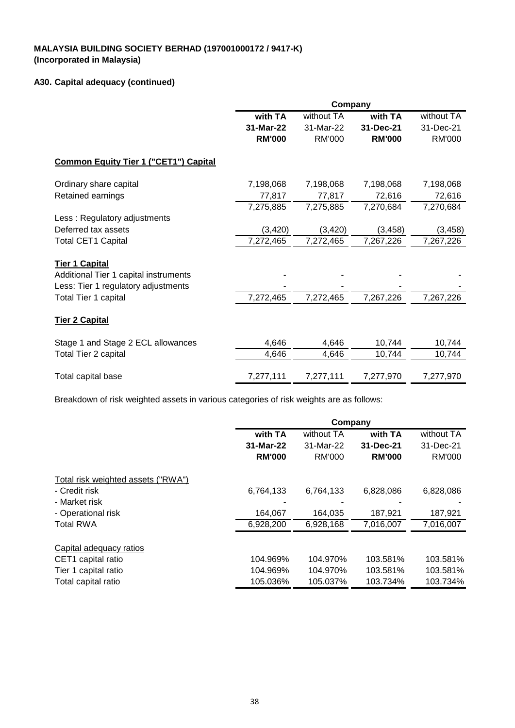# **A30. Capital adequacy (continued)**

|                                              | Company       |               |               |               |
|----------------------------------------------|---------------|---------------|---------------|---------------|
|                                              | with TA       | without TA    | with TA       | without TA    |
|                                              | 31-Mar-22     | 31-Mar-22     | 31-Dec-21     | 31-Dec-21     |
|                                              | <b>RM'000</b> | <b>RM'000</b> | <b>RM'000</b> | <b>RM'000</b> |
| <b>Common Equity Tier 1 ("CET1") Capital</b> |               |               |               |               |
| Ordinary share capital                       | 7,198,068     | 7,198,068     | 7,198,068     | 7,198,068     |
| Retained earnings                            | 77,817        | 77,817        | 72,616        | 72,616        |
|                                              | 7,275,885     | 7,275,885     | 7,270,684     | 7,270,684     |
| Less: Regulatory adjustments                 |               |               |               |               |
| Deferred tax assets                          | (3, 420)      | (3, 420)      | (3, 458)      | (3, 458)      |
| <b>Total CET1 Capital</b>                    | 7,272,465     | 7,272,465     | 7,267,226     | 7,267,226     |
| <b>Tier 1 Capital</b>                        |               |               |               |               |
| Additional Tier 1 capital instruments        |               |               |               |               |
| Less: Tier 1 regulatory adjustments          |               |               |               |               |
| Total Tier 1 capital                         | 7,272,465     | 7,272,465     | 7,267,226     | 7,267,226     |
| <b>Tier 2 Capital</b>                        |               |               |               |               |
| Stage 1 and Stage 2 ECL allowances           | 4,646         | 4,646         | 10,744        | 10,744        |
| Total Tier 2 capital                         | 4,646         | 4,646         | 10,744        | 10,744        |
| Total capital base                           | 7,277,111     | 7,277,111     | 7,277,970     | 7,277,970     |

Breakdown of risk weighted assets in various categories of risk weights are as follows:

|                                    | Company       |               |               |               |
|------------------------------------|---------------|---------------|---------------|---------------|
|                                    | with TA       | without TA    | with TA       | without TA    |
|                                    | 31-Mar-22     | 31-Mar-22     | 31-Dec-21     | 31-Dec-21     |
|                                    | <b>RM'000</b> | <b>RM'000</b> | <b>RM'000</b> | <b>RM'000</b> |
| Total risk weighted assets ("RWA") |               |               |               |               |
| - Credit risk                      | 6,764,133     | 6,764,133     | 6,828,086     | 6,828,086     |
| - Market risk                      |               |               |               |               |
| - Operational risk                 | 164,067       | 164,035       | 187,921       | 187,921       |
| <b>Total RWA</b>                   | 6,928,200     | 6,928,168     | 7,016,007     | 7,016,007     |
| Capital adequacy ratios            |               |               |               |               |
| CET1 capital ratio                 | 104.969%      | 104.970%      | 103.581%      | 103.581%      |
| Tier 1 capital ratio               | 104.969%      | 104.970%      | 103.581%      | 103.581%      |
| Total capital ratio                | 105.036%      | 105.037%      | 103.734%      | 103.734%      |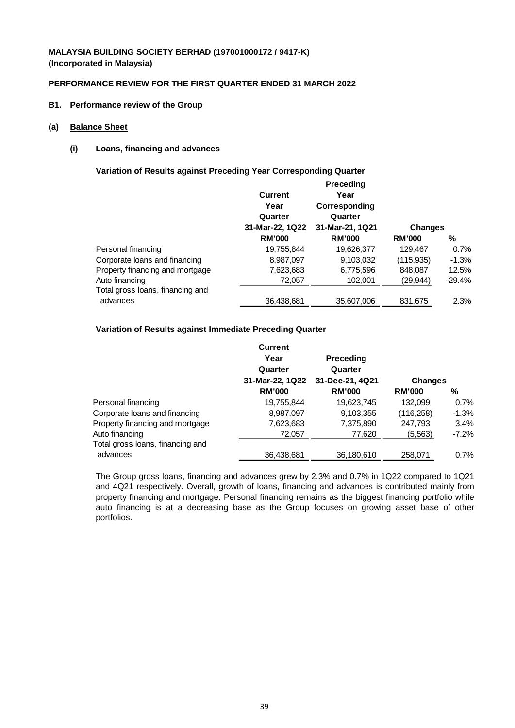## **PERFORMANCE REVIEW FOR THE FIRST QUARTER ENDED 31 MARCH 2022**

**B1. Performance review of the Group**

#### **(a) Balance Sheet**

## **(i) Loans, financing and advances**

**Variation of Results against Preceding Year Corresponding Quarter**

|                                  |                 | <b>Preceding</b> |                |          |
|----------------------------------|-----------------|------------------|----------------|----------|
|                                  | <b>Current</b>  | Year             |                |          |
|                                  | Year            | Corresponding    |                |          |
|                                  | Quarter         | Quarter          |                |          |
|                                  | 31-Mar-22, 1Q22 | 31-Mar-21, 1Q21  | <b>Changes</b> |          |
|                                  | <b>RM'000</b>   | <b>RM'000</b>    | <b>RM'000</b>  | ℅        |
| Personal financing               | 19,755,844      | 19,626,377       | 129.467        | 0.7%     |
| Corporate loans and financing    | 8,987,097       | 9,103,032        | (115,935)      | $-1.3%$  |
| Property financing and mortgage  | 7,623,683       | 6,775,596        | 848,087        | 12.5%    |
| Auto financing                   | 72,057          | 102,001          | (29,944)       | $-29.4%$ |
| Total gross loans, financing and |                 |                  |                |          |
| advances                         | 36,438,681      | 35,607,006       | 831,675        | 2.3%     |
|                                  |                 |                  |                |          |

## **Variation of Results against Immediate Preceding Quarter**

|                                  | Current<br>Year<br>Quarter | <b>Preceding</b><br>Quarter |                |          |
|----------------------------------|----------------------------|-----------------------------|----------------|----------|
|                                  | 31-Mar-22, 1Q22            | 31-Dec-21, 4Q21             | <b>Changes</b> |          |
|                                  | <b>RM'000</b>              | <b>RM'000</b>               | <b>RM'000</b>  | %        |
| Personal financing               | 19,755,844                 | 19,623,745                  | 132.099        | 0.7%     |
| Corporate loans and financing    | 8,987,097                  | 9,103,355                   | (116, 258)     | $-1.3%$  |
| Property financing and mortgage  | 7,623,683                  | 7,375,890                   | 247,793        | 3.4%     |
| Auto financing                   | 72,057                     | 77,620                      | (5,563)        | $-7.2\%$ |
| Total gross loans, financing and |                            |                             |                |          |
| advances                         | 36.438.681                 | 36,180,610                  | 258,071        | 0.7%     |

The Group gross loans, financing and advances grew by 2.3% and 0.7% in 1Q22 compared to 1Q21 and 4Q21 respectively. Overall, growth of loans, financing and advances is contributed mainly from property financing and mortgage. Personal financing remains as the biggest financing portfolio while auto financing is at a decreasing base as the Group focuses on growing asset base of other portfolios.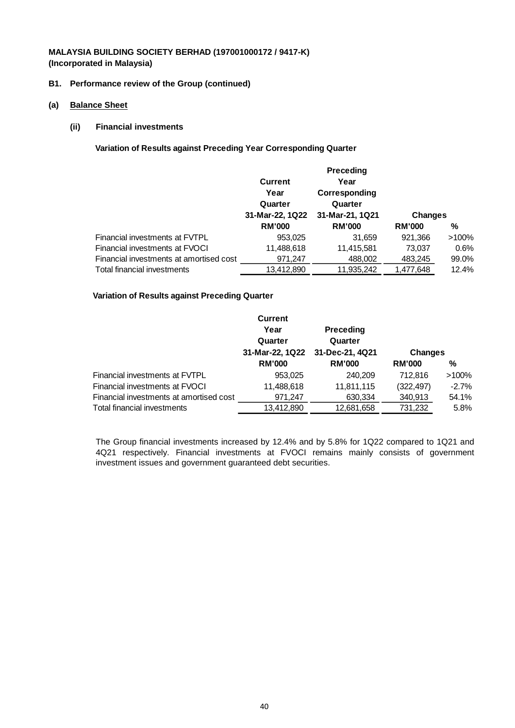### **B1. Performance review of the Group (continued)**

- **(a) Balance Sheet**
	- **(ii) Financial investments**

**Variation of Results against Preceding Year Corresponding Quarter**

|                                         |                 | <b>Preceding</b> |                |          |
|-----------------------------------------|-----------------|------------------|----------------|----------|
|                                         | Current         | Year             |                |          |
|                                         | Year            | Corresponding    |                |          |
|                                         | Quarter         | Quarter          |                |          |
|                                         | 31-Mar-22, 1Q22 | 31-Mar-21, 1Q21  | <b>Changes</b> |          |
|                                         | <b>RM'000</b>   | <b>RM'000</b>    | <b>RM'000</b>  | %        |
| Financial investments at FVTPL          | 953,025         | 31,659           | 921,366        | $>100\%$ |
| Financial investments at FVOCI          | 11,488,618      | 11,415,581       | 73,037         | 0.6%     |
| Financial investments at amortised cost | 971,247         | 488,002          | 483,245        | 99.0%    |
| Total financial investments             | 13,412,890      | 11,935,242       | 1,477,648      | 12.4%    |
|                                         |                 |                  |                |          |

### **Variation of Results against Preceding Quarter**

|                                         | <b>Current</b><br>Year<br>Quarter | <b>Preceding</b><br>Quarter |                |          |
|-----------------------------------------|-----------------------------------|-----------------------------|----------------|----------|
|                                         | 31-Mar-22, 1Q22                   | 31-Dec-21, 4Q21             | <b>Changes</b> |          |
|                                         | <b>RM'000</b>                     | <b>RM'000</b>               | <b>RM'000</b>  | %        |
| Financial investments at FVTPL          | 953,025                           | 240,209                     | 712.816        | $>100\%$ |
| Financial investments at FVOCI          | 11,488,618                        | 11,811,115                  | (322, 497)     | $-2.7%$  |
| Financial investments at amortised cost | 971,247                           | 630,334                     | 340,913        | 54.1%    |
| Total financial investments             | 13,412,890                        | 12,681,658                  | 731,232        | 5.8%     |

The Group financial investments increased by 12.4% and by 5.8% for 1Q22 compared to 1Q21 and 4Q21 respectively. Financial investments at FVOCI remains mainly consists of government investment issues and government guaranteed debt securities.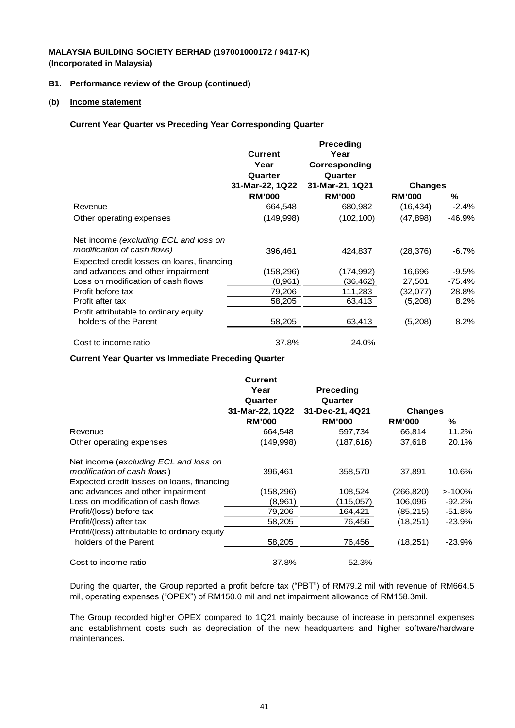### **B1. Performance review of the Group (continued)**

### **(b) Income statement**

### **Current Year Quarter vs Preceding Year Corresponding Quarter**

|                                            |                 | <b>Preceding</b> |                |          |
|--------------------------------------------|-----------------|------------------|----------------|----------|
|                                            | <b>Current</b>  | Year             |                |          |
|                                            | Year            | Corresponding    |                |          |
|                                            | Quarter         | Quarter          |                |          |
|                                            | 31-Mar-22, 1Q22 | 31-Mar-21, 1Q21  | <b>Changes</b> |          |
|                                            | <b>RM'000</b>   | <b>RM'000</b>    | <b>RM'000</b>  | ℅        |
| Revenue                                    | 664,548         | 680,982          | (16, 434)      | $-2.4\%$ |
| Other operating expenses                   | (149,998)       | (102, 100)       | (47, 898)      | $-46.9%$ |
| Net income (excluding ECL and loss on      |                 |                  |                |          |
| modification of cash flows)                | 396,461         | 424,837          | (28, 376)      | -6.7%    |
| Expected credit losses on loans, financing |                 |                  |                |          |
| and advances and other impairment          | (158,296)       | (174,992)        | 16,696         | $-9.5%$  |
| Loss on modification of cash flows         | (8,961)         | (36,462)         | 27,501         | -75.4%   |
| Profit before tax                          | 79,206          | 111,283          | (32,077)       | 28.8%    |
| Profit after tax                           | 58,205          | 63,413           | (5,208)        | 8.2%     |
| Profit attributable to ordinary equity     |                 |                  |                |          |
| holders of the Parent                      | 58,205          | 63,413           | (5,208)        | 8.2%     |
| Cost to income ratio                       | 37.8%           | 24.0%            |                |          |

### **Current Year Quarter vs Immediate Preceding Quarter**

|                                               | <b>Current</b>  |                  |                |           |
|-----------------------------------------------|-----------------|------------------|----------------|-----------|
|                                               | Year            | <b>Preceding</b> |                |           |
|                                               | Quarter         | Quarter          |                |           |
|                                               | 31-Mar-22, 1Q22 | 31-Dec-21, 4Q21  | <b>Changes</b> |           |
|                                               | <b>RM'000</b>   | <b>RM'000</b>    | <b>RM'000</b>  | %         |
| Revenue                                       | 664,548         | 597,734          | 66,814         | 11.2%     |
| Other operating expenses                      | (149,998)       | (187, 616)       | 37,618         | 20.1%     |
| Net income (excluding ECL and loss on         |                 |                  |                |           |
| modification of cash flows)                   | 396,461         | 358,570          | 37,891         | 10.6%     |
| Expected credit losses on loans, financing    |                 |                  |                |           |
| and advances and other impairment             | (158,296)       | 108,524          | (266, 820)     | $>100\%$  |
| Loss on modification of cash flows            | (8.961)         | (115,057)        | 106,096        | $-92.2\%$ |
| Profit/(loss) before tax                      | 79,206          | 164,421          | (85,215)       | -51.8%    |
| Profit/(loss) after tax                       | 58,205          | 76,456           | (18,251)       | $-23.9\%$ |
| Profit/(loss) attributable to ordinary equity |                 |                  |                |           |
| holders of the Parent                         | 58,205          | 76,456           | (18,251)       | $-23.9\%$ |
| Cost to income ratio                          | 37.8%           | 52.3%            |                |           |

During the quarter, the Group reported a profit before tax ("PBT") of RM79.2 mil with revenue of RM664.5 mil, operating expenses ("OPEX") of RM150.0 mil and net impairment allowance of RM158.3mil.

The Group recorded higher OPEX compared to 1Q21 mainly because of increase in personnel expenses and establishment costs such as depreciation of the new headquarters and higher software/hardware maintenances.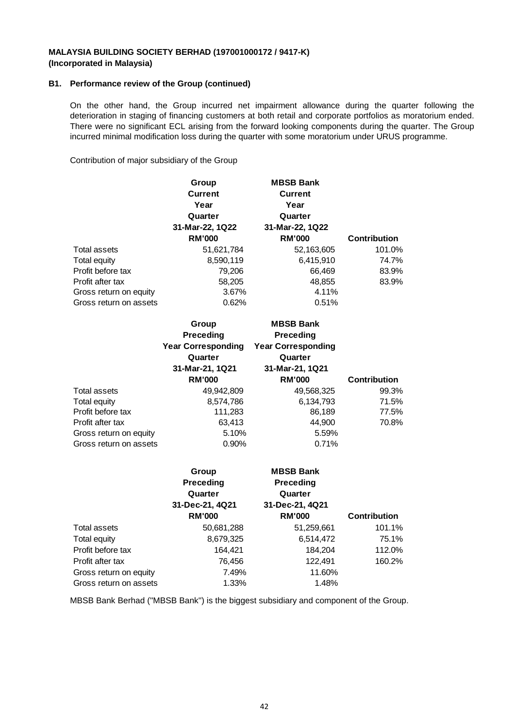### **B1. Performance review of the Group (continued)**

On the other hand, the Group incurred net impairment allowance during the quarter following the deterioration in staging of financing customers at both retail and corporate portfolios as moratorium ended. There were no significant ECL arising from the forward looking components during the quarter. The Group incurred minimal modification loss during the quarter with some moratorium under URUS programme.

Contribution of major subsidiary of the Group

|                        | Group<br><b>Current</b><br>Year<br>Quarter | <b>MBSB Bank</b><br><b>Current</b><br>Year<br>Quarter |                     |
|------------------------|--------------------------------------------|-------------------------------------------------------|---------------------|
|                        | 31-Mar-22, 1Q22                            | 31-Mar-22, 1Q22                                       |                     |
|                        | <b>RM'000</b>                              | <b>RM'000</b>                                         | <b>Contribution</b> |
| Total assets           | 51,621,784                                 | 52,163,605                                            | 101.0%              |
| Total equity           | 8,590,119                                  | 6,415,910                                             | 74.7%               |
| Profit before tax      | 79,206                                     | 66,469                                                | 83.9%               |
| Profit after tax       | 58,205                                     | 48,855                                                | 83.9%               |
| Gross return on equity | 3.67%                                      | 4.11%                                                 |                     |
| Gross return on assets | 0.62%                                      | 0.51%                                                 |                     |
|                        | Group                                      | <b>MBSB Bank</b>                                      |                     |

|                        | <b>Preceding</b><br><b>Year Corresponding</b><br>Quarter<br>31-Mar-21, 1Q21<br><b>RM'000</b> | <b>Preceding</b><br><b>Year Corresponding</b><br>Quarter<br>31-Mar-21, 1Q21<br><b>RM'000</b> | <b>Contribution</b> |
|------------------------|----------------------------------------------------------------------------------------------|----------------------------------------------------------------------------------------------|---------------------|
| Total assets           | 49,942,809                                                                                   | 49,568,325                                                                                   | 99.3%               |
| Total equity           | 8,574,786                                                                                    | 6,134,793                                                                                    | 71.5%               |
| Profit before tax      | 111,283                                                                                      | 86,189                                                                                       | 77.5%               |
| Profit after tax       | 63,413                                                                                       | 44,900                                                                                       | 70.8%               |
| Gross return on equity | 5.10%                                                                                        | 5.59%                                                                                        |                     |
| Gross return on assets | $0.90\%$                                                                                     | 0.71%                                                                                        |                     |

|                        | Group<br>Preceding<br>Quarter<br>31-Dec-21, 4Q21<br><b>RM'000</b> | <b>MBSB Bank</b><br><b>Preceding</b><br>Quarter<br>31-Dec-21, 4Q21<br><b>RM'000</b> | <b>Contribution</b> |
|------------------------|-------------------------------------------------------------------|-------------------------------------------------------------------------------------|---------------------|
| Total assets           | 50,681,288                                                        | 51,259,661                                                                          | 101.1%              |
| Total equity           | 8,679,325                                                         | 6,514,472                                                                           | 75.1%               |
| Profit before tax      | 164,421                                                           | 184,204                                                                             | 112.0%              |
| Profit after tax       | 76,456                                                            | 122,491                                                                             | 160.2%              |
| Gross return on equity | 7.49%                                                             | 11.60%                                                                              |                     |
| Gross return on assets | 1.33%                                                             | 1.48%                                                                               |                     |

MBSB Bank Berhad (''MBSB Bank'') is the biggest subsidiary and component of the Group.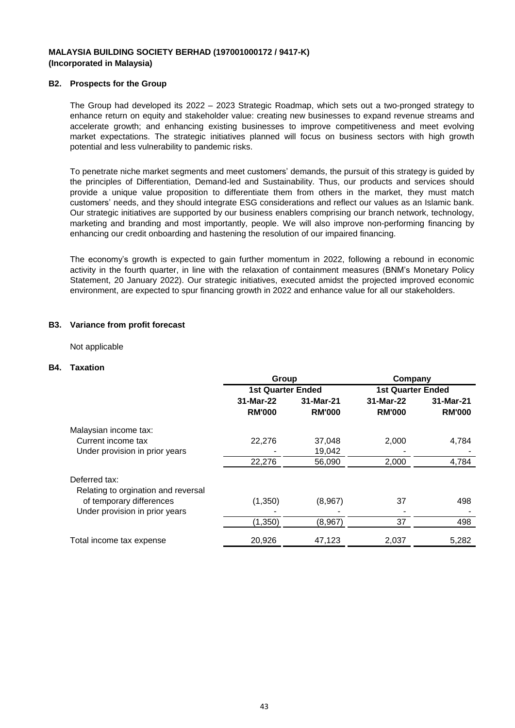### **B2. Prospects for the Group**

The Group had developed its 2022 – 2023 Strategic Roadmap, which sets out a two-pronged strategy to enhance return on equity and stakeholder value: creating new businesses to expand revenue streams and accelerate growth; and enhancing existing businesses to improve competitiveness and meet evolving market expectations. The strategic initiatives planned will focus on business sectors with high growth potential and less vulnerability to pandemic risks.

To penetrate niche market segments and meet customers' demands, the pursuit of this strategy is guided by the principles of Differentiation, Demand-led and Sustainability. Thus, our products and services should provide a unique value proposition to differentiate them from others in the market, they must match customers' needs, and they should integrate ESG considerations and reflect our values as an Islamic bank. Our strategic initiatives are supported by our business enablers comprising our branch network, technology, marketing and branding and most importantly, people. We will also improve non-performing financing by enhancing our credit onboarding and hastening the resolution of our impaired financing.

The economy's growth is expected to gain further momentum in 2022, following a rebound in economic activity in the fourth quarter, in line with the relaxation of containment measures (BNM's Monetary Policy Statement, 20 January 2022). Our strategic initiatives, executed amidst the projected improved economic environment, are expected to spur financing growth in 2022 and enhance value for all our stakeholders.

### **B3. Variance from profit forecast**

Not applicable

### **B4. Taxation**

|                                     | Group                    |               | Company                  |               |
|-------------------------------------|--------------------------|---------------|--------------------------|---------------|
|                                     | <b>1st Quarter Ended</b> |               | <b>1st Quarter Ended</b> |               |
|                                     | 31-Mar-22                | 31-Mar-21     | 31-Mar-22                | 31-Mar-21     |
|                                     | <b>RM'000</b>            | <b>RM'000</b> | <b>RM'000</b>            | <b>RM'000</b> |
| Malaysian income tax:               |                          |               |                          |               |
| Current income tax                  | 22,276                   | 37,048        | 2,000                    | 4,784         |
| Under provision in prior years      |                          | 19,042        |                          |               |
|                                     | 22,276                   | 56,090        | 2,000                    | 4,784         |
| Deferred tax:                       |                          |               |                          |               |
| Relating to orgination and reversal |                          |               |                          |               |
| of temporary differences            | (1,350)                  | (8,967)       | 37                       | 498           |
| Under provision in prior years      |                          |               |                          |               |
|                                     | (1, 350)                 | (8,967)       | 37                       | 498           |
| Total income tax expense            | 20,926                   | 47,123        | 2,037                    | 5,282         |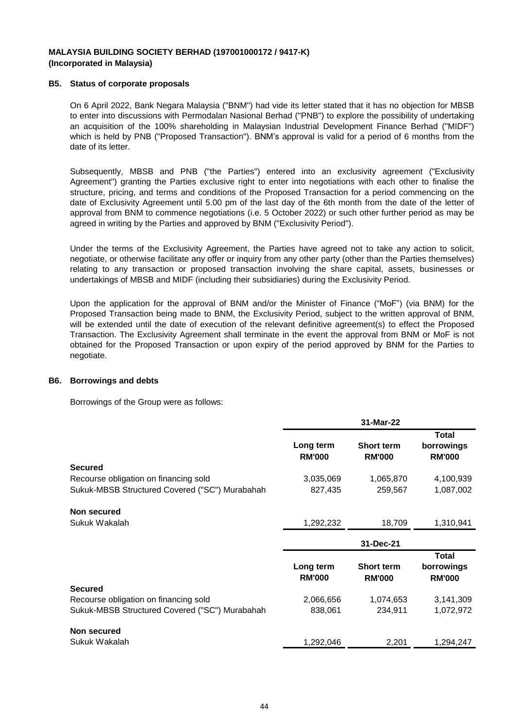### **B5. Status of corporate proposals**

On 6 April 2022, Bank Negara Malaysia (''BNM'') had vide its letter stated that it has no objection for MBSB to enter into discussions with Permodalan Nasional Berhad (''PNB'') to explore the possibility of undertaking an acquisition of the 100% shareholding in Malaysian Industrial Development Finance Berhad (''MIDF'') which is held by PNB ("Proposed Transaction"). BNM's approval is valid for a period of 6 months from the date of its letter.

Subsequently, MBSB and PNB ("the Parties") entered into an exclusivity agreement ("Exclusivity Agreement") granting the Parties exclusive right to enter into negotiations with each other to finalise the structure, pricing, and terms and conditions of the Proposed Transaction for a period commencing on the date of Exclusivity Agreement until 5.00 pm of the last day of the 6th month from the date of the letter of approval from BNM to commence negotiations (i.e. 5 October 2022) or such other further period as may be agreed in writing by the Parties and approved by BNM ("Exclusivity Period").

Under the terms of the Exclusivity Agreement, the Parties have agreed not to take any action to solicit, negotiate, or otherwise facilitate any offer or inquiry from any other party (other than the Parties themselves) relating to any transaction or proposed transaction involving the share capital, assets, businesses or undertakings of MBSB and MIDF (including their subsidiaries) during the Exclusivity Period.

Upon the application for the approval of BNM and/or the Minister of Finance ("MoF") (via BNM) for the Proposed Transaction being made to BNM, the Exclusivity Period, subject to the written approval of BNM, will be extended until the date of execution of the relevant definitive agreement(s) to effect the Proposed Transaction. The Exclusivity Agreement shall terminate in the event the approval from BNM or MoF is not obtained for the Proposed Transaction or upon expiry of the period approved by BNM for the Parties to negotiate.

#### **B6. Borrowings and debts**

Borrowings of the Group were as follows:

|                                                |                            | 31-Mar-22                          |                                             |
|------------------------------------------------|----------------------------|------------------------------------|---------------------------------------------|
|                                                | Long term<br><b>RM'000</b> | <b>Short term</b><br><b>RM'000</b> | <b>Total</b><br>borrowings<br><b>RM'000</b> |
| <b>Secured</b>                                 |                            |                                    |                                             |
| Recourse obligation on financing sold          | 3,035,069                  | 1,065,870                          | 4,100,939                                   |
| Sukuk-MBSB Structured Covered ("SC") Murabahah | 827,435                    | 259,567                            | 1,087,002                                   |
| <b>Non secured</b>                             |                            |                                    |                                             |
| Sukuk Wakalah                                  | 1,292,232                  | 18,709                             | 1,310,941                                   |
|                                                |                            | 31-Dec-21                          |                                             |
|                                                | Long term<br><b>RM'000</b> | <b>Short term</b><br><b>RM'000</b> | <b>Total</b><br>borrowings<br><b>RM'000</b> |
| <b>Secured</b>                                 |                            |                                    |                                             |
| Recourse obligation on financing sold          | 2,066,656                  | 1,074,653                          | 3,141,309                                   |
| Sukuk-MBSB Structured Covered ("SC") Murabahah | 838,061                    | 234,911                            | 1,072,972                                   |
| Non secured                                    |                            |                                    |                                             |
| Sukuk Wakalah                                  | 1,292,046                  | 2,201                              | 1,294,247                                   |